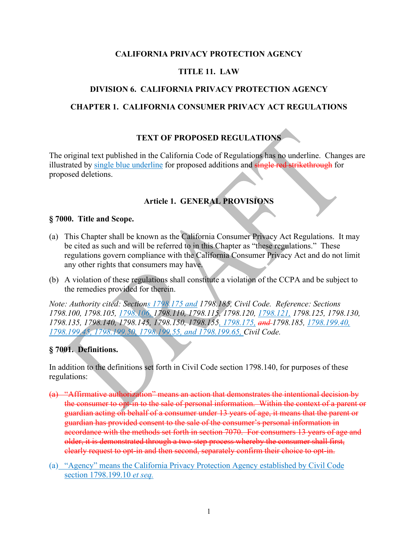#### **CALIFORNIA PRIVACY PROTECTION AGENCY**

#### **TITLE 11. LAW**

#### **DIVISION 6. CALIFORNIA PRIVACY PROTECTION AGENCY**

#### **CHAPTER 1. CALIFORNIA CONSUMER PRIVACY ACT REGULATIONS**

### **TEXT OF PROPOSED REGULATIONS**

The original text published in the California Code of Regulations has no underline. Changes are illustrated by single blue underline for proposed additions and single red strikethrough for proposed deletions.

### **Article 1. GENERAL PROVISIONS**

#### **§ 7000. Title and Scope.**

- (a) This Chapter shall be known as the California Consumer Privacy Act Regulations. It may be cited as such and will be referred to in this Chapter as "these regulations." These regulations govern compliance with the California Consumer Privacy Act and do not limit any other rights that consumers may have.
- (b) A violation of these regulations shall constitute a violation of the CCPA and be subject to the remedies provided for therein.

*Note: Authority cited: Sections 1798.175 and 1798.185, Civil Code. Reference: Sections 1798.100, 1798.105, 1798.106, 1798.110, 1798.115, 1798.120, 1798.121, 1798.125, 1798.130, 1798.135, 1798.140, 1798.145, 1798.150, 1798.155, 1798.175, and 1798.185, 1798.199.40, 1798.199.45, 1798.199.50, 1798.199.55, and 1798.199.65, Civil Code.* 

#### **§ 7001. Definitions.**

In addition to the definitions set forth in Civil Code section 1798.140, for purposes of these regulations:

- (a) "Affirmative authorization" means an action that demonstrates the intentional decision by the consumer to opt-in to the sale of personal information. Within the context of a parent or guardian acting on behalf of a consumer under 13 years of age, it means that the parent or guardian has provided consent to the sale of the consumer's personal information in accordance with the methods set forth in section 7070. For consumers 13 years of age and older, it is demonstrated through a two-step process whereby the consumer shall first, clearly request to opt-in and then second, separately confirm their choice to opt-in.
- (a) "Agency" means the California Privacy Protection Agency established by Civil Code section 1798.199.10 *et seq.*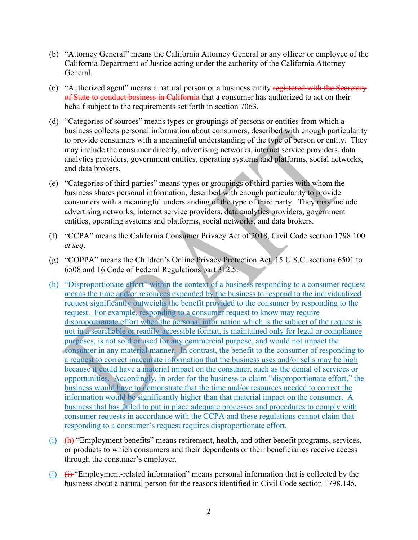- (b) "Attorney General" means the California Attorney General or any officer or employee of the California Department of Justice acting under the authority of the California Attorney General.
- (c) "Authorized agent" means a natural person or a business entity registered with the Secretary of State to conduct business in California that a consumer has authorized to act on their behalf subject to the requirements set forth in section 7063.
- (d) "Categories of sources" means types or groupings of persons or entities from which a business collects personal information about consumers, described with enough particularity to provide consumers with a meaningful understanding of the type of person or entity. They may include the consumer directly, advertising networks, internet service providers, data analytics providers, government entities, operating systems and platforms, social networks, and data brokers.
- (e) "Categories of third parties" means types or groupings of third parties with whom the business shares personal information, described with enough particularity to provide consumers with a meaningful understanding of the type of third party. They may include advertising networks, internet service providers, data analytics providers, government entities, operating systems and platforms, social networks, and data brokers.
- (f) "CCPA" means the California Consumer Privacy Act of 2018, Civil Code section 1798.100 *et seq*.
- (g) "COPPA" means the Children's Online Privacy Protection Act, 15 U.S.C. sections 6501 to 6508 and 16 Code of Federal Regulations part 312.5.
- (h) "Disproportionate effort" within the context of a business responding to a consumer request means the time and/or resources expended by the business to respond to the individualized request significantly outweighs the benefit provided to the consumer by responding to the request. For example, responding to a consumer request to know may require disproportionate effort when the personal information which is the subject of the request is not in a searchable or readily-accessible format, is maintained only for legal or compliance purposes, is not sold or used for any commercial purpose, and would not impact the consumer in any material manner. In contrast, the benefit to the consumer of responding to a request to correct inaccurate information that the business uses and/or sells may be high because it could have a material impact on the consumer, such as the denial of services or opportunities. Accordingly, in order for the business to claim "disproportionate effort," the business would have to demonstrate that the time and/or resources needed to correct the information would be significantly higher than that material impact on the consumer. A business that has failed to put in place adequate processes and procedures to comply with consumer requests in accordance with the CCPA and these regulations cannot claim that responding to a consumer's request requires disproportionate effort.
- (i)  $(h)$  "Employment benefits" means retirement, health, and other benefit programs, services, or products to which consumers and their dependents or their beneficiaries receive access through the consumer's employer.
- (i)  $\left(i\right)$  "Employment-related information" means personal information that is collected by the business about a natural person for the reasons identified in Civil Code section 1798.145,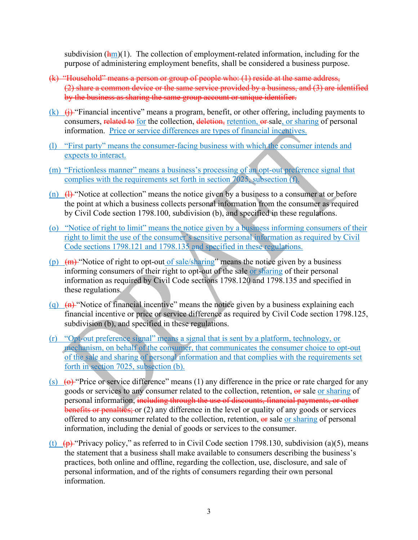subdivision  $(\frac{hm}{m})$ . The collection of employment-related information, including for the purpose of administering employment benefits, shall be considered a business purpose.

- (k) "Household" means a person or group of people who: (1) reside at the same address, (2) share a common device or the same service provided by a business, and (3) are identified by the business as sharing the same group account or unique identifier.
- (k)  $(i)$  "Financial incentive" means a program, benefit, or other offering, including payments to consumers, related to for the collection, deletion, retention, or sale, or sharing of personal information. Price or service differences are types of financial incentives.
- (l) "First party" means the consumer-facing business with which the consumer intends and expects to interact.
- (m) "Frictionless manner" means a business's processing of an opt-out preference signal that complies with the requirements set forth in section 7025, subsection (f).
- (n)  $\left(1\right)$  "Notice at collection" means the notice given by a business to a consumer at or before the point at which a business collects personal information from the consumer as required by Civil Code section 1798.100, subdivision (b), and specified in these regulations.
- (o) "Notice of right to limit" means the notice given by a business informing consumers of their right to limit the use of the consumer's sensitive personal information as required by Civil Code sections 1798.121 and 1798.135 and specified in these regulations.
- (p)  $(m)$  "Notice of right to opt-out of sale/sharing" means the notice given by a business informing consumers of their right to opt-out of the sale or sharing of their personal information as required by Civil Code sections 1798.120 and 1798.135 and specified in these regulations.
- (q)  $(n)$  "Notice of financial incentive" means the notice given by a business explaining each financial incentive or price or service difference as required by Civil Code section 1798.125, subdivision (b), and specified in these regulations.
- (r) "Opt-out preference signal" means a signal that is sent by a platform, technology, or mechanism, on behalf of the consumer, that communicates the consumer choice to opt-out of the sale and sharing of personal information and that complies with the requirements set forth in section 7025, subsection (b).
- (s)  $\Theta$  "Price or service difference" means (1) any difference in the price or rate charged for any goods or services to any consumer related to the collection, retention,  $\theta$  sale or sharing of personal information, including through the use of discounts, financial payments, or other benefits or penalties; or (2) any difference in the level or quality of any goods or services offered to any consumer related to the collection, retention,  $\theta$  sale or sharing of personal information, including the denial of goods or services to the consumer.
- (t)  $(\theta)$  "Privacy policy," as referred to in Civil Code section 1798.130, subdivision (a)(5), means the statement that a business shall make available to consumers describing the business's practices, both online and offline, regarding the collection, use, disclosure, and sale of personal information, and of the rights of consumers regarding their own personal information.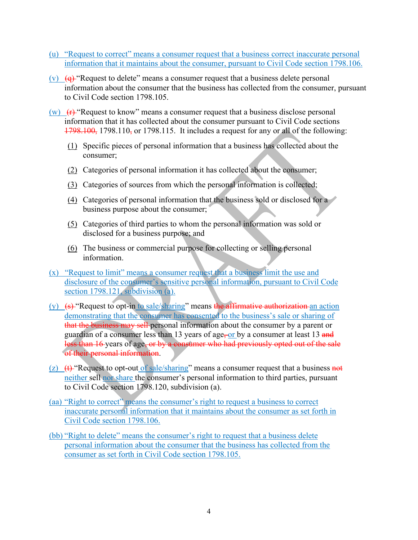- (u) "Request to correct" means a consumer request that a business correct inaccurate personal information that it maintains about the consumer, pursuant to Civil Code section 1798.106.
- (v)  $(q)$  "Request to delete" means a consumer request that a business delete personal information about the consumer that the business has collected from the consumer, pursuant to Civil Code section 1798.105.
- (w)  $(r)$  "Request to know" means a consumer request that a business disclose personal information that it has collected about the consumer pursuant to Civil Code sections  $1798.100$ , 1798.110, or 1798.115. It includes a request for any or all of the following:
	- (1) Specific pieces of personal information that a business has collected about the consumer;
	- (2) Categories of personal information it has collected about the consumer;
	- (3) Categories of sources from which the personal information is collected;
	- (4) Categories of personal information that the business sold or disclosed for a business purpose about the consumer;
	- (5) Categories of third parties to whom the personal information was sold or disclosed for a business purpose; and
	- (6) The business or commercial purpose for collecting or selling personal information.
- (x) "Request to limit" means a consumer request that a business limit the use and disclosure of the consumer's sensitive personal information, pursuant to Civil Code section 1798.121, subdivision (a).
- (y)  $(s)$  "Request to opt-in to sale/sharing" means the affirmative authorization an action demonstrating that the consumer has consented to the business's sale or sharing of that the business may sell-personal information about the consumer by a parent or guardian of a consumer less than 13 years of age, or by a consumer at least 13 and less than 16 years of age, or by a consumer who had previously opted out of the sale of their personal information.
- (z)  $(t)$  "Request to opt-out of sale/sharing" means a consumer request that a business not neither sell nor share the consumer's personal information to third parties, pursuant to Civil Code section 1798.120, subdivision (a).
- (aa) "Right to correct" means the consumer's right to request a business to correct inaccurate personal information that it maintains about the consumer as set forth in Civil Code section 1798.106.
- (bb) "Right to delete" means the consumer's right to request that a business delete personal information about the consumer that the business has collected from the consumer as set forth in Civil Code section 1798.105.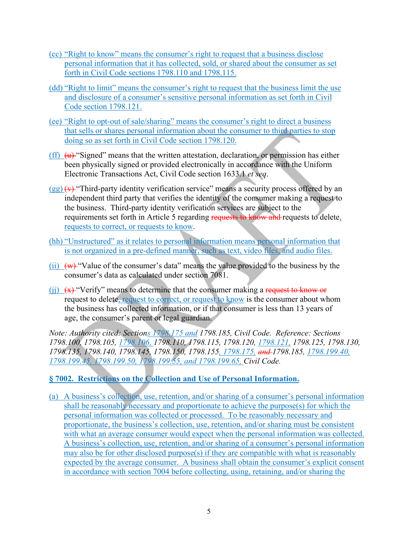- (cc) "Right to know" means the consumer's right to request that a business disclose personal information that it has collected, sold, or shared about the consumer as set forth in Civil Code sections 1798.110 and 1798.115.
- (dd) "Right to limit" means the consumer's right to request that the business limit the use and disclosure of a consumer's sensitive personal information as set forth in Civil Code section 1798.121.
- (ee) "Right to opt-out of sale/sharing" means the consumer's right to direct a business that sells or shares personal information about the consumer to third parties to stop doing so as set forth in Civil Code section 1798.120.
- (ff)  $\overline{(u)}$  "Signed" means that the written attestation, declaration, or permission has either been physically signed or provided electronically in accordance with the Uniform Electronic Transactions Act, Civil Code section 1633.1 *et seq*.
- $(gg)$   $(v)$  "Third-party identity verification service" means a security process offered by an independent third party that verifies the identity of the consumer making a request to the business. Third-party identity verification services are subject to the requirements set forth in Article 5 regarding requests to know and requests to delete, requests to correct, or requests to know.
- (hh) "Unstructured" as it relates to personal information means personal information that is not organized in a pre-defined manner, such as text, video files, and audio files.
- $(i)$   $(w)$  "Value of the consumer's data" means the value provided to the business by the consumer's data as calculated under section 7081.
- (ii)  $(x)$  "Verify" means to determine that the consumer making a request to know or request to delete, request to correct, or request to know is the consumer about whom the business has collected information, or if that consumer is less than 13 years of age, the consumer's parent or legal guardian.

*Note: Authority cited: Sections 1798.175 and 1798.185, Civil Code. Reference: Sections 1798.100, 1798.105, 1798.106, 1798.110, 1798.115, 1798.120, 1798.121, 1798.125, 1798.130, 1798.135, 1798.140, 1798.145, 1798.150, 1798.155, 1798.175, and 1798.185, 1798.199.40, 1798.199.45, 1798.199.50, 1798.199.55, and 1798.199.65, Civil Code.*

#### **§ 7002. Restrictions on the Collection and Use of Personal Information.**

(a) A business's collection, use, retention, and/or sharing of a consumer's personal information shall be reasonably necessary and proportionate to achieve the purpose(s) for which the personal information was collected or processed. To be reasonably necessary and proportionate, the business's collection, use, retention, and/or sharing must be consistent with what an average consumer would expect when the personal information was collected. A business's collection, use, retention, and/or sharing of a consumer's personal information may also be for other disclosed purpose(s) if they are compatible with what is reasonably expected by the average consumer. A business shall obtain the consumer's explicit consent in accordance with section 7004 before collecting, using, retaining, and/or sharing the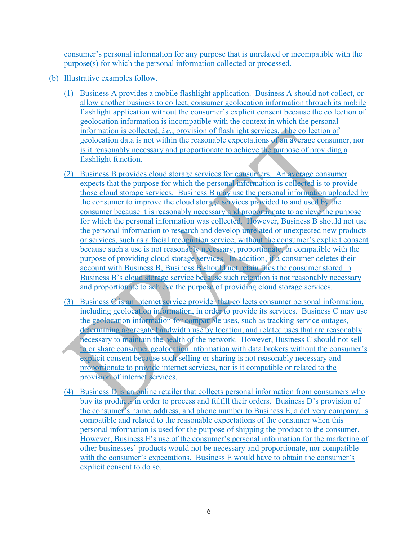consumer's personal information for any purpose that is unrelated or incompatible with the purpose(s) for which the personal information collected or processed.

- (b) Illustrative examples follow.
	- (1) Business A provides a mobile flashlight application. Business A should not collect, or allow another business to collect, consumer geolocation information through its mobile flashlight application without the consumer's explicit consent because the collection of geolocation information is incompatible with the context in which the personal information is collected, *i.e.*, provision of flashlight services. The collection of geolocation data is not within the reasonable expectations of an average consumer, nor is it reasonably necessary and proportionate to achieve the purpose of providing a flashlight function.
	- (2) Business B provides cloud storage services for consumers. An average consumer expects that the purpose for which the personal information is collected is to provide those cloud storage services. Business B may use the personal information uploaded by the consumer to improve the cloud storage services provided to and used by the consumer because it is reasonably necessary and proportionate to achieve the purpose for which the personal information was collected. However, Business B should not use the personal information to research and develop unrelated or unexpected new products or services, such as a facial recognition service, without the consumer's explicit consent because such a use is not reasonably necessary, proportionate, or compatible with the purpose of providing cloud storage services. In addition, if a consumer deletes their account with Business B, Business B should not retain files the consumer stored in Business B's cloud storage service because such retention is not reasonably necessary and proportionate to achieve the purpose of providing cloud storage services.
	- (3) Business C is an internet service provider that collects consumer personal information, including geolocation information, in order to provide its services. Business C may use the geolocation information for compatible uses, such as tracking service outages, determining aggregate bandwidth use by location, and related uses that are reasonably necessary to maintain the health of the network. However, Business C should not sell to or share consumer geolocation information with data brokers without the consumer's explicit consent because such selling or sharing is not reasonably necessary and proportionate to provide internet services, nor is it compatible or related to the provision of internet services.
	- (4) Business  $\overline{D}$  is an online retailer that collects personal information from consumers who buy its products in order to process and fulfill their orders. Business D's provision of the consumer's name, address, and phone number to Business E, a delivery company, is compatible and related to the reasonable expectations of the consumer when this personal information is used for the purpose of shipping the product to the consumer. However, Business E's use of the consumer's personal information for the marketing of other businesses' products would not be necessary and proportionate, nor compatible with the consumer's expectations. Business E would have to obtain the consumer's explicit consent to do so.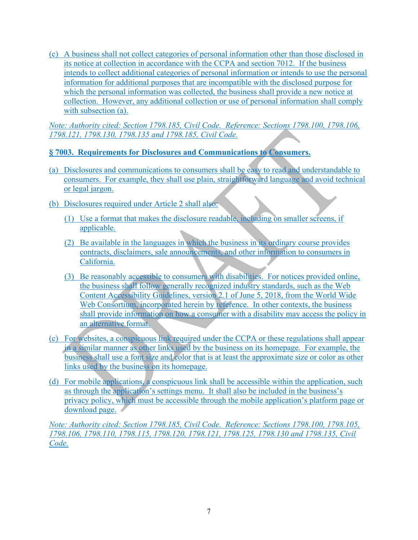(c) A business shall not collect categories of personal information other than those disclosed in its notice at collection in accordance with the CCPA and section 7012. If the business intends to collect additional categories of personal information or intends to use the personal information for additional purposes that are incompatible with the disclosed purpose for which the personal information was collected, the business shall provide a new notice at collection. However, any additional collection or use of personal information shall comply with subsection (a).

*Note: Authority cited: Section 1798.185, Civil Code. Reference: Sections 1798.100, 1798.106, 1798.121, 1798.130, 1798.135 and 1798.185, Civil Code.* 

### **§ 7003. Requirements for Disclosures and Communications to Consumers.**

- (a) Disclosures and communications to consumers shall be easy to read and understandable to consumers. For example, they shall use plain, straightforward language and avoid technical or legal jargon.
- (b) Disclosures required under Article 2 shall also:
	- (1) Use a format that makes the disclosure readable, including on smaller screens, if applicable.
	- (2) Be available in the languages in which the business in its ordinary course provides contracts, disclaimers, sale announcements, and other information to consumers in California.
	- (3) Be reasonably accessible to consumers with disabilities. For notices provided online, the business shall follow generally recognized industry standards, such as the Web Content Accessibility Guidelines, version 2.1 of June 5, 2018, from the World Wide Web Consortium, incorporated herein by reference. In other contexts, the business shall provide information on how a consumer with a disability may access the policy in an alternative format.
- (c) For websites, a conspicuous link required under the CCPA or these regulations shall appear in a similar manner as other links used by the business on its homepage. For example, the business shall use a font size and color that is at least the approximate size or color as other links used by the business on its homepage.
- (d) For mobile applications, a conspicuous link shall be accessible within the application, such as through the application's settings menu. It shall also be included in the business's privacy policy, which must be accessible through the mobile application's platform page or download page.

*Note: Authority cited: Section 1798.185, Civil Code. Reference: Sections 1798.100, 1798.105, 1798.106, 1798.110, 1798.115, 1798.120, 1798.121, 1798.125, 1798.130 and 1798.135, Civil Code.*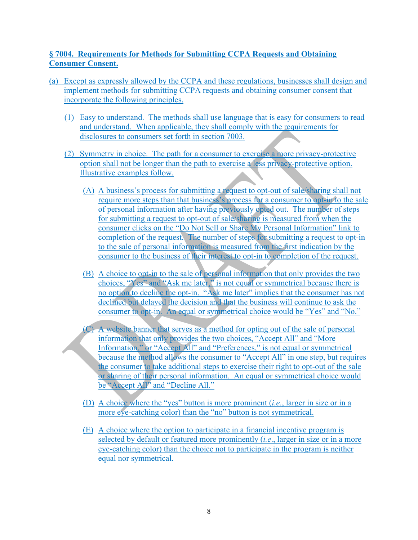### **§ 7004. Requirements for Methods for Submitting CCPA Requests and Obtaining Consumer Consent.**

- (a) Except as expressly allowed by the CCPA and these regulations, businesses shall design and implement methods for submitting CCPA requests and obtaining consumer consent that incorporate the following principles.
	- (1) Easy to understand. The methods shall use language that is easy for consumers to read and understand. When applicable, they shall comply with the requirements for disclosures to consumers set forth in section 7003.
	- (2) Symmetry in choice. The path for a consumer to exercise a more privacy-protective option shall not be longer than the path to exercise a less privacy-protective option. Illustrative examples follow.
		- (A) A business's process for submitting a request to opt-out of sale/sharing shall not require more steps than that business's process for a consumer to opt-in to the sale of personal information after having previously opted out. The number of steps for submitting a request to opt-out of sale/sharing is measured from when the consumer clicks on the "Do Not Sell or Share My Personal Information" link to completion of the request. The number of steps for submitting a request to opt-in to the sale of personal information is measured from the first indication by the consumer to the business of their interest to opt-in to completion of the request.
		- (B) A choice to opt-in to the sale of personal information that only provides the two choices, "Yes" and "Ask me later," is not equal or symmetrical because there is no option to decline the opt-in. "Ask me later" implies that the consumer has not declined but delayed the decision and that the business will continue to ask the consumer to opt-in. An equal or symmetrical choice would be "Yes" and "No."
		- (C) A website banner that serves as a method for opting out of the sale of personal information that only provides the two choices, "Accept All" and "More Information," or "Accept All" and "Preferences," is not equal or symmetrical because the method allows the consumer to "Accept All" in one step, but requires the consumer to take additional steps to exercise their right to opt-out of the sale or sharing of their personal information. An equal or symmetrical choice would be "Accept All" and "Decline All."
		- (D) A choice where the "yes" button is more prominent (*i.e*., larger in size or in a more eye-catching color) than the "no" button is not symmetrical.
		- (E) A choice where the option to participate in a financial incentive program is selected by default or featured more prominently (*i.e*., larger in size or in a more eye-catching color) than the choice not to participate in the program is neither equal nor symmetrical.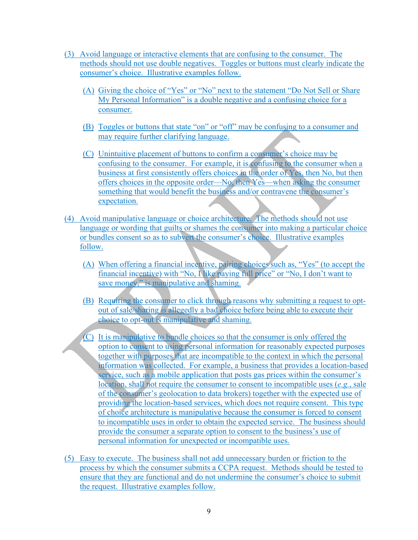- (3) Avoid language or interactive elements that are confusing to the consumer. The methods should not use double negatives. Toggles or buttons must clearly indicate the consumer's choice. Illustrative examples follow.
	- (A) Giving the choice of "Yes" or "No" next to the statement "Do Not Sell or Share My Personal Information" is a double negative and a confusing choice for a consumer.
	- (B) Toggles or buttons that state "on" or "off" may be confusing to a consumer and may require further clarifying language.
	- (C) Unintuitive placement of buttons to confirm a consumer's choice may be confusing to the consumer. For example, it is confusing to the consumer when a business at first consistently offers choices in the order of Yes, then No, but then offers choices in the opposite order—No, then Yes—when asking the consumer something that would benefit the business and/or contravene the consumer's expectation.
- (4) Avoid manipulative language or choice architecture. The methods should not use language or wording that guilts or shames the consumer into making a particular choice or bundles consent so as to subvert the consumer's choice. Illustrative examples follow.
	- (A) When offering a financial incentive, pairing choices such as, "Yes" (to accept the financial incentive) with "No, I like paying full price" or "No, I don't want to save money," is manipulative and shaming.
	- (B) Requiring the consumer to click through reasons why submitting a request to optout of sale/sharing is allegedly a bad choice before being able to execute their choice to opt-out is manipulative and shaming.
	- (C) It is manipulative to bundle choices so that the consumer is only offered the option to consent to using personal information for reasonably expected purposes together with purposes that are incompatible to the context in which the personal information was collected. For example, a business that provides a location-based service, such as a mobile application that posts gas prices within the consumer's location, shall not require the consumer to consent to incompatible uses (*e.g.*, sale of the consumer's geolocation to data brokers) together with the expected use of providing the location-based services, which does not require consent. This type of choice architecture is manipulative because the consumer is forced to consent to incompatible uses in order to obtain the expected service. The business should provide the consumer a separate option to consent to the business's use of personal information for unexpected or incompatible uses.
- (5) Easy to execute. The business shall not add unnecessary burden or friction to the process by which the consumer submits a CCPA request. Methods should be tested to ensure that they are functional and do not undermine the consumer's choice to submit the request. Illustrative examples follow.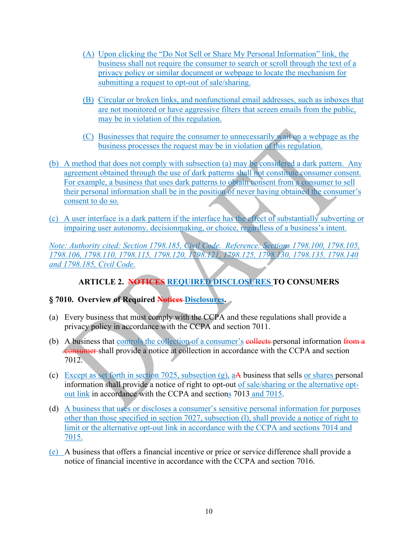- (A) Upon clicking the "Do Not Sell or Share My Personal Information" link, the business shall not require the consumer to search or scroll through the text of a privacy policy or similar document or webpage to locate the mechanism for submitting a request to opt-out of sale/sharing.
- (B) Circular or broken links, and nonfunctional email addresses, such as inboxes that are not monitored or have aggressive filters that screen emails from the public, may be in violation of this regulation.
- (C) Businesses that require the consumer to unnecessarily wait on a webpage as the business processes the request may be in violation of this regulation.
- (b) A method that does not comply with subsection (a) may be considered a dark pattern. Any agreement obtained through the use of dark patterns shall not constitute consumer consent. For example, a business that uses dark patterns to obtain consent from a consumer to sell their personal information shall be in the position of never having obtained the consumer's consent to do so.
- (c) A user interface is a dark pattern if the interface has the effect of substantially subverting or impairing user autonomy, decisionmaking, or choice, regardless of a business's intent.

*Note: Authority cited: Section 1798.185, Civil Code. Reference: Sections 1798.100, 1798.105, 1798.106, 1798.110, 1798.115, 1798.120, 1798.121, 1798.125, 1798.130, 1798.135, 1798.140 and 1798.185, Civil Code.* 

# **ARTICLE 2. NOTICES REQUIRED DISCLOSURES TO CONSUMERS**

# **§ 7010. Overview of Required Notices Disclosures.**

- (a) Every business that must comply with the CCPA and these regulations shall provide a privacy policy in accordance with the CCPA and section 7011.
- (b) A business that controls the collection of a consumer's collects personal information from a consumer shall provide a notice at collection in accordance with the CCPA and section 7012.
- (c) Except as set forth in section 7025, subsection (g), aA business that sells or shares personal information shall provide a notice of right to opt-out of sale/sharing or the alternative optout link in accordance with the CCPA and sections 7013 and 7015.
- (d) A business that uses or discloses a consumer's sensitive personal information for purposes other than those specified in section 7027, subsection (l), shall provide a notice of right to limit or the alternative opt-out link in accordance with the CCPA and sections 7014 and 7015.
- (e) A business that offers a financial incentive or price or service difference shall provide a notice of financial incentive in accordance with the CCPA and section 7016.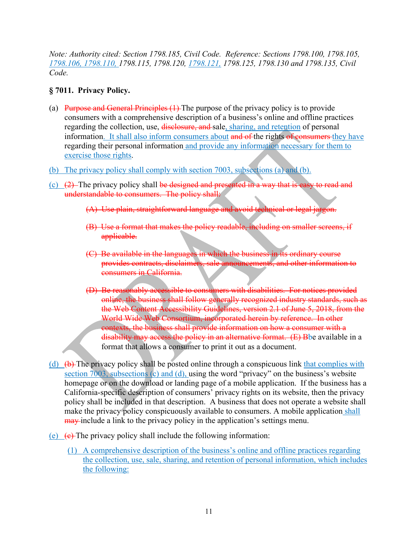*Note: Authority cited: Section 1798.185, Civil Code. Reference: Sections 1798.100, 1798.105, 1798.106, 1798.110, 1798.115, 1798.120, 1798.121, 1798.125, 1798.130 and 1798.135, Civil Code.* 

#### **§ 7011. Privacy Policy.**

- (a) Purpose and General Principles  $(1)$  The purpose of the privacy policy is to provide consumers with a comprehensive description of a business's online and offline practices regarding the collection, use, disclosure, and sale, sharing, and retention of personal information. It shall also inform consumers about and of the rights of consumers they have regarding their personal information and provide any information necessary for them to exercise those rights.
- (b) The privacy policy shall comply with section 7003, subsections (a) and (b).
- (c)  $(2)$  The privacy policy shall be designed and presented in a way that is easy to read and understandable to consumers. The policy shall:
	- (A) Use plain, straightforward language and avoid technical or legal ja
	- (B) Use a format that makes the policy readable, including on smaller screens, if applicable.
	- (C) Be available in the languages in which the business in its ordinary course provides contracts, disclaimers, sale announcements, and other information to consumers in California.
	- (D) Be reasonably accessible to consumers with disabilities. For notices provided online, the business shall follow generally recognized industry standards, such as the Web Content Accessibility Guidelines, version 2.1 of June 5, 2018, from the World Wide Web Consortium, incorporated herein by reference. In other contexts, the business shall provide information on how a consumer with a disability may access the policy in an alternative format. (E) Bbe available in a format that allows a consumer to print it out as a document.
- (d)  $(\theta)$ . The privacy policy shall be posted online through a conspicuous link that complies with section 7003, subsections (c) and (d), using the word "privacy" on the business's website homepage or on the download or landing page of a mobile application. If the business has a California-specific description of consumers' privacy rights on its website, then the privacy policy shall be included in that description. A business that does not operate a website shall make the privacy policy conspicuously available to consumers. A mobile application shall may include a link to the privacy policy in the application's settings menu.
- (e)  $(e)$  (e) The privacy policy shall include the following information:
	- (1) A comprehensive description of the business's online and offline practices regarding the collection, use, sale, sharing, and retention of personal information, which includes the following: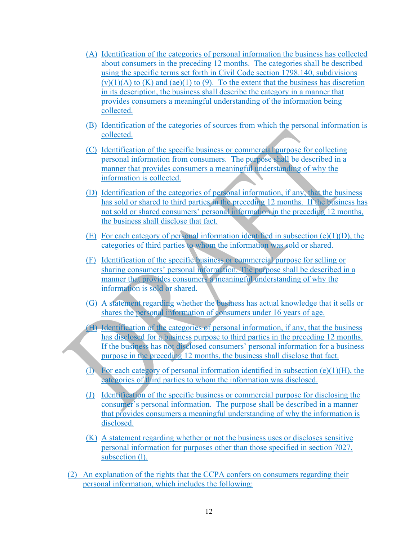- (A) Identification of the categories of personal information the business has collected about consumers in the preceding 12 months. The categories shall be described using the specific terms set forth in Civil Code section 1798.140, subdivisions  $(v)(1)(A)$  to  $(K)$  and  $(ae)(1)$  to  $(9)$ . To the extent that the business has discretion in its description, the business shall describe the category in a manner that provides consumers a meaningful understanding of the information being collected.
- (B) Identification of the categories of sources from which the personal information is collected.
- (C) Identification of the specific business or commercial purpose for collecting personal information from consumers. The purpose shall be described in a manner that provides consumers a meaningful understanding of why the information is collected.
- (D) Identification of the categories of personal information, if any, that the business has sold or shared to third parties in the preceding 12 months. If the business has not sold or shared consumers' personal information in the preceding 12 months, the business shall disclose that fact.
- (E) For each category of personal information identified in subsection (e)(1)(D), the categories of third parties to whom the information was sold or shared.
- (F) Identification of the specific business or commercial purpose for selling or sharing consumers' personal information. The purpose shall be described in a manner that provides consumers a meaningful understanding of why the information is sold or shared.
- (G) A statement regarding whether the business has actual knowledge that it sells or shares the personal information of consumers under 16 years of age.
- (H) Identification of the categories of personal information, if any, that the business has disclosed for a business purpose to third parties in the preceding 12 months. If the business has not disclosed consumers' personal information for a business purpose in the preceding 12 months, the business shall disclose that fact.
- (I) For each category of personal information identified in subsection  $(e)(1)(H)$ , the categories of third parties to whom the information was disclosed.
- (J) Identification of the specific business or commercial purpose for disclosing the consumer's personal information. The purpose shall be described in a manner that provides consumers a meaningful understanding of why the information is disclosed.
- (K) A statement regarding whether or not the business uses or discloses sensitive personal information for purposes other than those specified in section 7027, subsection (1).
- (2) An explanation of the rights that the CCPA confers on consumers regarding their personal information, which includes the following: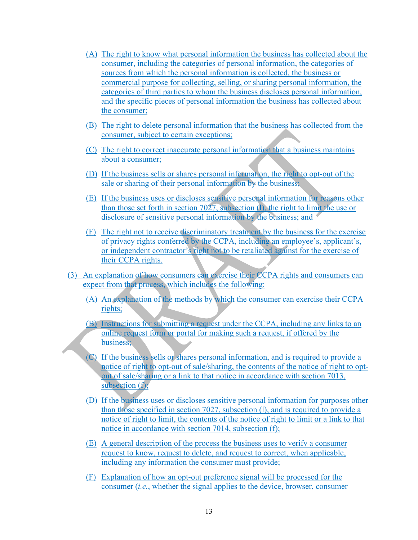- (A) The right to know what personal information the business has collected about the consumer, including the categories of personal information, the categories of sources from which the personal information is collected, the business or commercial purpose for collecting, selling, or sharing personal information, the categories of third parties to whom the business discloses personal information, and the specific pieces of personal information the business has collected about the consumer;
- (B) The right to delete personal information that the business has collected from the consumer, subject to certain exceptions;
- (C) The right to correct inaccurate personal information that a business maintains about a consumer;
- (D) If the business sells or shares personal information, the right to opt-out of the sale or sharing of their personal information by the business;
- (E) If the business uses or discloses sensitive personal information for reasons other than those set forth in section 7027, subsection (l), the right to limit the use or disclosure of sensitive personal information by the business; and
- (F) The right not to receive discriminatory treatment by the business for the exercise of privacy rights conferred by the CCPA, including an employee's, applicant's, or independent contractor's right not to be retaliated against for the exercise of their CCPA rights.
- (3) An explanation of how consumers can exercise their CCPA rights and consumers can expect from that process, which includes the following:
	- (A) An explanation of the methods by which the consumer can exercise their CCPA rights;
	- (B) Instructions for submitting a request under the CCPA, including any links to an online request form or portal for making such a request, if offered by the business;
	- (C) If the business sells or shares personal information, and is required to provide a notice of right to opt-out of sale/sharing, the contents of the notice of right to optout of sale/sharing or a link to that notice in accordance with section 7013, subsection (f);
	- (D) If the business uses or discloses sensitive personal information for purposes other than those specified in section 7027, subsection (l), and is required to provide a notice of right to limit, the contents of the notice of right to limit or a link to that notice in accordance with section 7014, subsection (f);
	- (E) A general description of the process the business uses to verify a consumer request to know, request to delete, and request to correct, when applicable, including any information the consumer must provide;
	- (F) Explanation of how an opt-out preference signal will be processed for the consumer (*i.e.*, whether the signal applies to the device, browser, consumer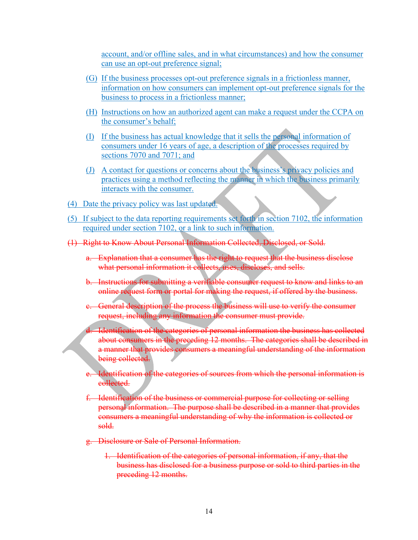account, and/or offline sales, and in what circumstances) and how the consumer can use an opt-out preference signal;

- (G) If the business processes opt-out preference signals in a frictionless manner, information on how consumers can implement opt-out preference signals for the business to process in a frictionless manner;
- (H) Instructions on how an authorized agent can make a request under the CCPA on the consumer's behalf;
- (I) If the business has actual knowledge that it sells the personal information of consumers under 16 years of age, a description of the processes required by sections 7070 and 7071; and
- (J) A contact for questions or concerns about the business's privacy policies and practices using a method reflecting the manner in which the business primarily interacts with the consumer.
- (4) Date the privacy policy was last updated.
- (5) If subject to the data reporting requirements set forth in section 7102, the information required under section 7102, or a link to such information.
- (1) Right to Know About Personal Information Collected, Disclosed, or Sold.
	- a. Explanation that a consumer has the right to request that the business disclose what personal information it collects, uses, discloses, and sells.
	- b. Instructions for submitting a verifiable consumer request to know and links to an online request form or portal for making the request, if offered by the business.
	- c. General description of the process the business will use to verify the consumer request, including any information the consumer must provide.
	- d. Identification of the categories of personal information the business has collected about consumers in the preceding 12 months. The categories shall be described in a manner that provides consumers a meaningful understanding of the information being collected.
	- e. Identification of the categories of sources from which the personal information is collected.
	- f. Identification of the business or commercial purpose for collecting or selling personal information. The purpose shall be described in a manner that provides consumers a meaningful understanding of why the information is collected or sold.
	- g. Disclosure or Sale of Personal Information.
		- 1. Identification of the categories of personal information, if any, that the business has disclosed for a business purpose or sold to third parties in the preceding 12 months.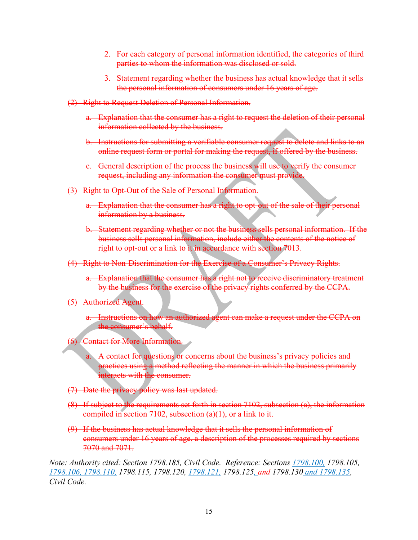- 2. For each category of personal information identified, the categories of third parties to whom the information was disclosed or sold.
- 3. Statement regarding whether the business has actual knowledge that it sells the personal information of consumers under 16 years of age.
- (2) Right to Request Deletion of Personal Information.
	- a. Explanation that the consumer has a right to request the deletion of their personal information collected by the business.
	- b. Instructions for submitting a verifiable consumer request to delete and links to an online request form or portal for making the request, if offered by the business.
	- c. General description of the process the business will use to verify the consumer request, including any information the consumer must provide.
- (3) Right to Opt-Out of the Sale of Personal Information.
	- a. Explanation that the consumer has a right to opt-out of the sale of their personal information by a business.
	- b. Statement regarding whether or not the business sells personal information. If the business sells personal information, include either the contents of the notice of right to opt-out or a link to it in accordance with section 7013.
- (4) Right to Non-Discrimination for the Exercise of a Consumer's Privacy Rights.
	- a. Explanation that the consumer has a right not to receive discriminatory treatment by the business for the exercise of the privacy rights conferred by the CCPA.

#### (5) Authorized Agent.

- a. Instructions on how an authorized agent can make a request under the CCPA on the consumer's behalf.
- (6) Contact for More Information.
	- A contact for questions or concerns about the business's privacy policies and practices using a method reflecting the manner in which the business primarily interacts with the consumer.
- (7) Date the privacy policy was last updated.
- (8) If subject to the requirements set forth in section 7102, subsection (a), the information compiled in section 7102, subsection  $(a)(1)$ , or a link to it.
- (9) If the business has actual knowledge that it sells the personal information of consumers under 16 years of age, a description of the processes required by sections 7070 and 7071.

*Note: Authority cited: Section 1798.185, Civil Code. Reference: Sections 1798.100, 1798.105, 1798.106, 1798.110, 1798.115, 1798.120, 1798.121, 1798.125, and 1798.130 and 1798.135, Civil Code.*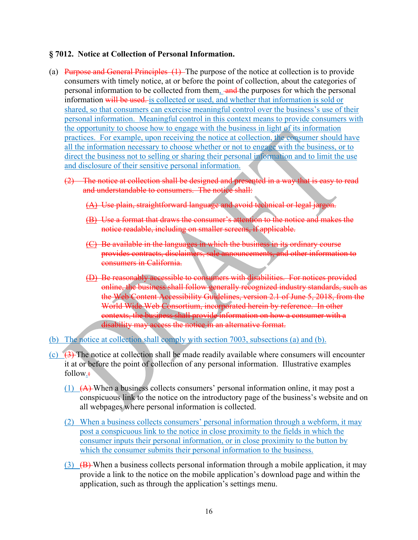#### **§ 7012. Notice at Collection of Personal Information.**

- (a) Purpose and General Principles  $(1)$ . The purpose of the notice at collection is to provide consumers with timely notice, at or before the point of collection, about the categories of personal information to be collected from them, and the purposes for which the personal information will be used. is collected or used, and whether that information is sold or shared, so that consumers can exercise meaningful control over the business's use of their personal information. Meaningful control in this context means to provide consumers with the opportunity to choose how to engage with the business in light of its information practices. For example, upon receiving the notice at collection, the consumer should have all the information necessary to choose whether or not to engage with the business, or to direct the business not to selling or sharing their personal information and to limit the use and disclosure of their sensitive personal information.
	- (2) The notice at collection shall be designed and presented in a way that is easy to read and understandable to consumers. The notice shall:
		- (A) Use plain, straightforward language and avoid technical or legal jargon.
		- (B) Use a format that draws the consumer's attention to the notice and makes the notice readable, including on smaller screens, if applicable.
		- (C) Be available in the languages in which the business in its ordinary course provides contracts, disclaimers, sale announcements, and other information to consumers in California.
		- (D) Be reasonably accessible to consumers with disabilities. For notices provided online, the business shall follow generally recognized industry standards, such as the Web Content Accessibility Guidelines, version 2.1 of June 5, 2018, from the World Wide Web Consortium, incorporated herein by reference. In other contexts, the business shall provide information on how a consumer with a disability may access the notice in an alternative format.
- (b) The notice at collection shall comply with section 7003, subsections (a) and (b).
- (c)  $(3)$ . The notice at collection shall be made readily available where consumers will encounter it at or before the point of collection of any personal information. Illustrative examples follow.:
	- (1) (A) When a business collects consumers' personal information online, it may post a conspicuous link to the notice on the introductory page of the business's website and on all webpages where personal information is collected.
	- (2) When a business collects consumers' personal information through a webform, it may post a conspicuous link to the notice in close proximity to the fields in which the consumer inputs their personal information, or in close proximity to the button by which the consumer submits their personal information to the business.
	- (3)  $(B)$  When a business collects personal information through a mobile application, it may provide a link to the notice on the mobile application's download page and within the application, such as through the application's settings menu.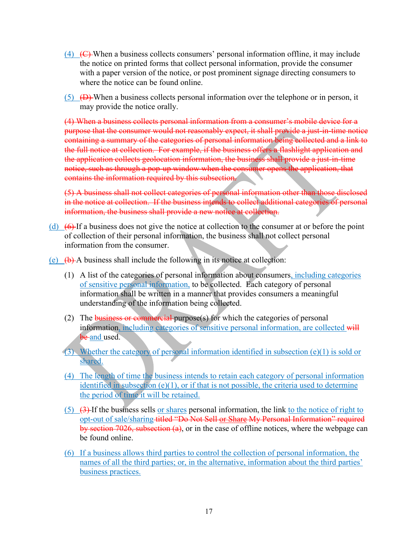- $(4)$  (C) When a business collects consumers' personal information offline, it may include the notice on printed forms that collect personal information, provide the consumer with a paper version of the notice, or post prominent signage directing consumers to where the notice can be found online.
- $(5)$   $(D)$  When a business collects personal information over the telephone or in person, it may provide the notice orally.

(4) When a business collects personal information from a consumer's mobile device for a purpose that the consumer would not reasonably expect, it shall provide a just-in-time notice containing a summary of the categories of personal information being collected and a link to the full notice at collection. For example, if the business offers a flashlight application and the application collects geolocation information, the business shall provide a just-in-time notice, such as through a pop-up window when the consumer opens the application, that contains the information required by this subsection.

(5) A business shall not collect categories of personal information other than those disclosed in the notice at collection. If the business intends to collect additional categories of personal information, the business shall provide a new notice at collection.

- (d)  $(6)$  If a business does not give the notice at collection to the consumer at or before the point of collection of their personal information, the business shall not collect personal information from the consumer.
- (e)  $(b)$  A business shall include the following in its notice at collection:
	- (1) A list of the categories of personal information about consumers, including categories of sensitive personal information, to be collected. Each category of personal information shall be written in a manner that provides consumers a meaningful understanding of the information being collected.
	- (2) The business or commercial purpose(s) for which the categories of personal information, including categories of sensitive personal information, are collected will be and used.
	- (3) Whether the category of personal information identified in subsection (e)(1) is sold or shared.
	- (4) The length of time the business intends to retain each category of personal information identified in subsection  $(e)(1)$ , or if that is not possible, the criteria used to determine the period of time it will be retained.
	- $(5)$   $(3)$  If the business sells or shares personal information, the link to the notice of right to opt-out of sale/sharing titled "Do Not Sell or Share My Personal Information" required by section 7026, subsection (a), or in the case of offline notices, where the webpage can be found online.
	- (6) If a business allows third parties to control the collection of personal information, the names of all the third parties; or, in the alternative, information about the third parties' business practices.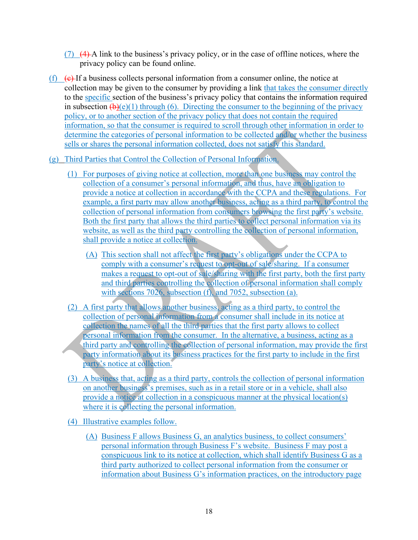- $(7)$   $(4)$  A link to the business's privacy policy, or in the case of offline notices, where the privacy policy can be found online.
- (f)  $(e)$  If a business collects personal information from a consumer online, the notice at collection may be given to the consumer by providing a link that takes the consumer directly to the specific section of the business's privacy policy that contains the information required in subsection  $(\mathbf{b})(e)(1)$  through (6). Directing the consumer to the beginning of the privacy policy, or to another section of the privacy policy that does not contain the required information, so that the consumer is required to scroll through other information in order to determine the categories of personal information to be collected and/or whether the business sells or shares the personal information collected, does not satisfy this standard.
- (g) Third Parties that Control the Collection of Personal Information.
	- (1) For purposes of giving notice at collection, more than one business may control the collection of a consumer's personal information, and thus, have an obligation to provide a notice at collection in accordance with the CCPA and these regulations. For example, a first party may allow another business, acting as a third party, to control the collection of personal information from consumers browsing the first party's website. Both the first party that allows the third parties to collect personal information via its website, as well as the third party controlling the collection of personal information, shall provide a notice at collection.
		- (A) This section shall not affect the first party's obligations under the CCPA to comply with a consumer's request to opt-out of sale/sharing. If a consumer makes a request to opt-out of sale/sharing with the first party, both the first party and third parties controlling the collection of personal information shall comply with sections 7026, subsection (f), and 7052, subsection (a).
	- (2) A first party that allows another business, acting as a third party, to control the collection of personal information from a consumer shall include in its notice at collection the names of all the third parties that the first party allows to collect personal information from the consumer. In the alternative, a business, acting as a third party and controlling the collection of personal information, may provide the first party information about its business practices for the first party to include in the first party's notice at collection.
	- (3) A business that, acting as a third party, controls the collection of personal information on another business's premises, such as in a retail store or in a vehicle, shall also provide a notice at collection in a conspicuous manner at the physical location(s) where it is collecting the personal information.
	- (4) Illustrative examples follow.
		- (A) Business F allows Business G, an analytics business, to collect consumers' personal information through Business F's website. Business F may post a conspicuous link to its notice at collection, which shall identify Business G as a third party authorized to collect personal information from the consumer or information about Business G's information practices, on the introductory page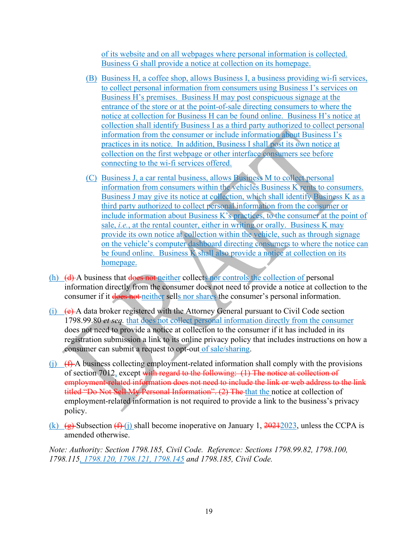of its website and on all webpages where personal information is collected. Business G shall provide a notice at collection on its homepage.

- (B) Business H, a coffee shop, allows Business I, a business providing wi-fi services, to collect personal information from consumers using Business I's services on Business H's premises. Business H may post conspicuous signage at the entrance of the store or at the point-of-sale directing consumers to where the notice at collection for Business H can be found online. Business H's notice at collection shall identify Business I as a third party authorized to collect personal information from the consumer or include information about Business I's practices in its notice. In addition, Business I shall post its own notice at collection on the first webpage or other interface consumers see before connecting to the wi-fi services offered.
- (C) Business J, a car rental business, allows Business M to collect personal information from consumers within the vehicles Business K rents to consumers. Business J may give its notice at collection, which shall identify Business K as a third party authorized to collect personal information from the consumer or include information about Business K's practices, to the consumer at the point of sale, *i.e.*, at the rental counter, either in writing or orally. Business K may provide its own notice at collection within the vehicle, such as through signage on the vehicle's computer dashboard directing consumers to where the notice can be found online. Business K shall also provide a notice at collection on its homepage.
- (h) (d) A business that does not neither collects nor controls the collection of personal information directly from the consumer does not need to provide a notice at collection to the consumer if it does not neither sells nor shares the consumer's personal information.
- (i)  $(e)$  A data broker registered with the Attorney General pursuant to Civil Code section 1798.99.80 *et seq.* that does not collect personal information directly from the consumer does not need to provide a notice at collection to the consumer if it has included in its registration submission a link to its online privacy policy that includes instructions on how a consumer can submit a request to opt-out of sale/sharing.
- (i)  $(f)$  A business collecting employment-related information shall comply with the provisions of section 7012, except with regard to the following: (1) The notice at collection of employment-related information does not need to include the link or web address to the link titled "Do Not Sell My Personal Information". (2) The that the notice at collection of employment-related information is not required to provide a link to the business's privacy policy.
- (k)  $\left(\frac{1}{2}\right)$  Subsection  $\left(\frac{1}{2}\right)$  shall become inoperative on January 1, 20212023, unless the CCPA is amended otherwise.

*Note: Authority: Section 1798.185, Civil Code. Reference: Sections 1798.99.82, 1798.100, 1798.115, 1798.120, 1798.121, 1798.145 and 1798.185, Civil Code.*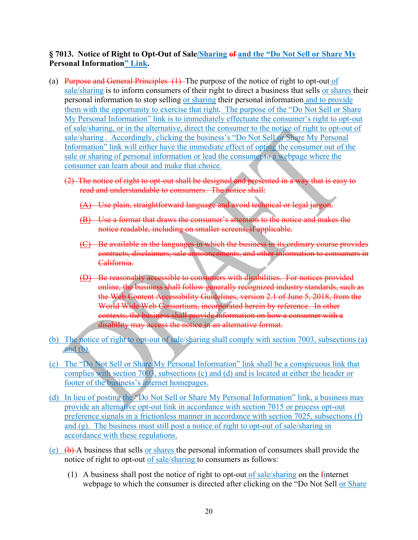### **§ 7013. Notice of Right to Opt-Out of Sale/Sharing of and the "Do Not Sell or Share My Personal Information" Link.**

- (a) Purpose and General Principles (1) The purpose of the notice of right to opt-out of sale/sharing is to inform consumers of their right to direct a business that sells or shares their personal information to stop selling or sharing their personal information and to provide them with the opportunity to exercise that right. The purpose of the "Do Not Sell or Share My Personal Information" link is to immediately effectuate the consumer's right to opt-out of sale/sharing, or in the alternative, direct the consumer to the notice of right to opt-out of sale/sharing . Accordingly, clicking the business's "Do Not Sell or Share My Personal Information" link will either have the immediate effect of opting the consumer out of the sale or sharing of personal information or lead the consumer to a webpage where the consumer can learn about and make that choice.
	- (2) The notice of right to opt-out shall be designed and presented in a way that is easy to read and understandable to consumers. The notice shall:
		- (A) Use plain, straightforward language and avoid technical or legal is
		- (B) Use a format that draws the consumer's attention to the notice and makes the notice readable, including on smaller screens, if applicable.
		- (C) Be available in the languages in which the business in its ordinary course provides contracts, disclaimers, sale announcements, and other information to consumers in California.
		- (D) Be reasonably accessible to consumers with disabilities. For notices provided online, the business shall follow generally recognized industry standards, such as the Web Content Accessibility Guidelines, version 2.1 of June 5, 2018, from the World Wide Web Consortium, incorporated herein by reference. In other contexts, the business shall provide information on how a consumer with a disability may access the notice in an alternative format.
- (b) The notice of right to opt-out of sale/sharing shall comply with section 7003, subsections (a) and  $(b)$ .
- (c) The "Do Not Sell or Share My Personal Information" link shall be a conspicuous link that complies with section 7003, subsections (c) and (d) and is located at either the header or footer of the business's internet homepages.
- (d) In lieu of posting the "Do Not Sell or Share My Personal Information" link, a business may provide an alternative opt-out link in accordance with section 7015 or process opt-out preference signals in a frictionless manner in accordance with section 7025, subsections (f) and (g). The business must still post a notice of right to opt-out of sale/sharing in accordance with these regulations.
- (e)  $(\theta)$   $(\theta)$  A business that sells or shares the personal information of consumers shall provide the notice of right to opt-out of sale/sharing to consumers as follows:
	- (1) A business shall post the notice of right to opt-out of sale/sharing on the Iinternet webpage to which the consumer is directed after clicking on the "Do Not Sell or Share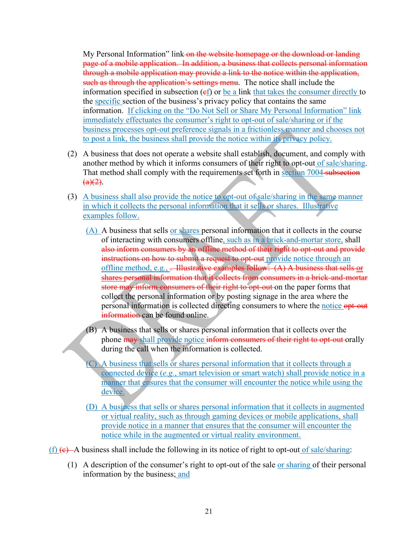My Personal Information" link-on the website homepage or the download or landing page of a mobile application. In addition, a business that collects personal information through a mobile application may provide a link to the notice within the application, such as through the application's settings menu. The notice shall include the information specified in subsection  $(\epsilon f)$  or be a link that takes the consumer directly to the specific section of the business's privacy policy that contains the same information. If clicking on the "Do Not Sell or Share My Personal Information" link immediately effectuates the consumer's right to opt-out of sale/sharing or if the business processes opt-out preference signals in a frictionless manner and chooses not to post a link, the business shall provide the notice within its privacy policy.

- (2) A business that does not operate a website shall establish, document, and comply with another method by which it informs consumers of their right to opt-out of sale/sharing. That method shall comply with the requirements set forth in section 7004-subsection  $(a)(2)$ .
- (3) A business shall also provide the notice to opt-out of sale/sharing in the same manner in which it collects the personal information that it sells or shares. Illustrative examples follow.
	- (A) A business that sells or shares personal information that it collects in the course of interacting with consumers offline, such as in a brick-and-mortar store, shall also inform consumers by an offline method of their right to opt-out and provide instructions on how to submit a request to opt-out provide notice through an offline method, e.g., . Illustrative examples follow: (A) A business that sells or shares personal information that it collects from consumers in a brick-and-mortar store may inform consumers of their right to opt-out on the paper forms that collect the personal information or by posting signage in the area where the personal information is collected directing consumers to where the notice opt-out information can be found online.
	- (B) A business that sells or shares personal information that it collects over the phone may shall provide notice inform consumers of their right to opt-out orally during the call when the information is collected.
	- (C) A business that sells or shares personal information that it collects through a connected device (*e.g.*, smart television or smart watch) shall provide notice in a manner that ensures that the consumer will encounter the notice while using the device.
	- (D) A business that sells or shares personal information that it collects in augmented or virtual reality, such as through gaming devices or mobile applications, shall provide notice in a manner that ensures that the consumer will encounter the notice while in the augmented or virtual reality environment.
- $(f)$  (e) A business shall include the following in its notice of right to opt-out of sale/sharing:
	- (1) A description of the consumer's right to opt-out of the sale  $or$  sharing of their personal information by the business; and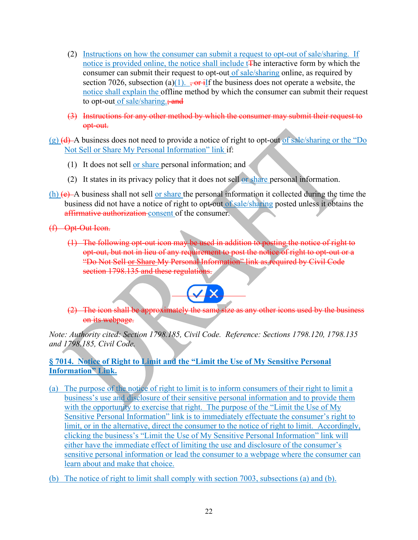- (2) Instructions on how the consumer can submit a request to opt-out of sale/sharing. If notice is provided online, the notice shall include tThe interactive form by which the consumer can submit their request to opt-out of sale/sharing online, as required by section 7026, subsection (a)(1).  $\frac{1}{2}$ ,  $\frac{1}{2}$  for the business does not operate a website, the notice shall explain the offline method by which the consumer can submit their request to opt-out of sale/sharing.; and
- (3) Instructions for any other method by which the consumer may submit their request to opt-out.
- $(g)$  (d) A business does not need to provide a notice of right to opt-out of sale/sharing or the "Do" Not Sell or Share My Personal Information" link if:
	- (1) It does not sell or share personal information; and
	- (2) It states in its privacy policy that it does not sell or share personal information.
- $(h)$  (e) A business shall not sell or share the personal information it collected during the time the business did not have a notice of right to opt-out of sale/sharing posted unless it obtains the affirmative authorization consent of the consumer.
- (f) Opt-Out Icon.
	- (1) The following opt-out icon may be used in addition to posting the notice of right to opt-out, but not in lieu of any requirement to post the notice of right to opt-out or a "Do Not Sell or Share My Personal Information" link as required by Civil Code section 1798.135 and these regulations.



(2) The icon shall be approximately the same size as any other icons used by the business on its webpage.

*Note: Authority cited: Section 1798.185, Civil Code. Reference: Sections 1798.120, 1798.135 and 1798.185, Civil Code.*

#### **§ 7014. Notice of Right to Limit and the "Limit the Use of My Sensitive Personal Information" Link.**

 $\overline{a}$ 

- (a) The purpose of the notice of right to limit is to inform consumers of their right to limit a business's use and disclosure of their sensitive personal information and to provide them with the opportunity to exercise that right. The purpose of the "Limit the Use of My Sensitive Personal Information" link is to immediately effectuate the consumer's right to limit, or in the alternative, direct the consumer to the notice of right to limit. Accordingly, clicking the business's "Limit the Use of My Sensitive Personal Information" link will either have the immediate effect of limiting the use and disclosure of the consumer's sensitive personal information or lead the consumer to a webpage where the consumer can learn about and make that choice.
- (b) The notice of right to limit shall comply with section 7003, subsections (a) and (b).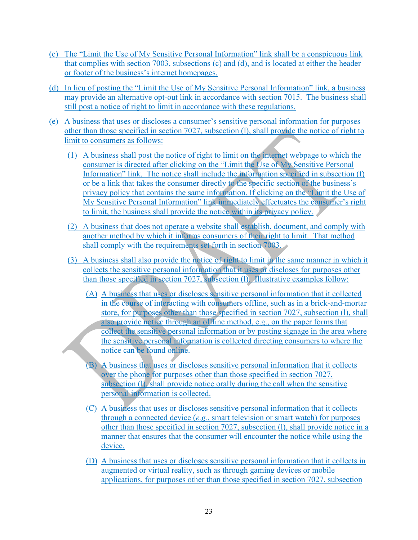- (c) The "Limit the Use of My Sensitive Personal Information" link shall be a conspicuous link that complies with section 7003, subsections (c) and (d), and is located at either the header or footer of the business's internet homepages.
- (d) In lieu of posting the "Limit the Use of My Sensitive Personal Information" link, a business may provide an alternative opt-out link in accordance with section 7015. The business shall still post a notice of right to limit in accordance with these regulations.
- (e) A business that uses or discloses a consumer's sensitive personal information for purposes other than those specified in section 7027, subsection (l), shall provide the notice of right to limit to consumers as follows:
	- (1) A business shall post the notice of right to limit on the internet webpage to which the consumer is directed after clicking on the "Limit the Use of My Sensitive Personal Information" link. The notice shall include the information specified in subsection (f) or be a link that takes the consumer directly to the specific section of the business's privacy policy that contains the same information. If clicking on the "Limit the Use of My Sensitive Personal Information" link immediately effectuates the consumer's right to limit, the business shall provide the notice within its privacy policy.
	- (2) A business that does not operate a website shall establish, document, and comply with another method by which it informs consumers of their right to limit. That method shall comply with the requirements set forth in section 7003.
	- (3) A business shall also provide the notice of right to limit in the same manner in which it collects the sensitive personal information that it uses or discloses for purposes other than those specified in section 7027, subsection (l). Illustrative examples follow:
		- (A) A business that uses or discloses sensitive personal information that it collected in the course of interacting with consumers offline, such as in a brick-and-mortar store, for purposes other than those specified in section 7027, subsection (l), shall also provide notice through an offline method, e.g., on the paper forms that collect the sensitive personal information or by posting signage in the area where the sensitive personal information is collected directing consumers to where the notice can be found online.
		- (B) A business that uses or discloses sensitive personal information that it collects over the phone for purposes other than those specified in section 7027, subsection (I), shall provide notice orally during the call when the sensitive personal information is collected.
		- (C) A business that uses or discloses sensitive personal information that it collects through a connected device (*e.g.*, smart television or smart watch) for purposes other than those specified in section 7027, subsection (l), shall provide notice in a manner that ensures that the consumer will encounter the notice while using the device.
		- (D) A business that uses or discloses sensitive personal information that it collects in augmented or virtual reality, such as through gaming devices or mobile applications, for purposes other than those specified in section 7027, subsection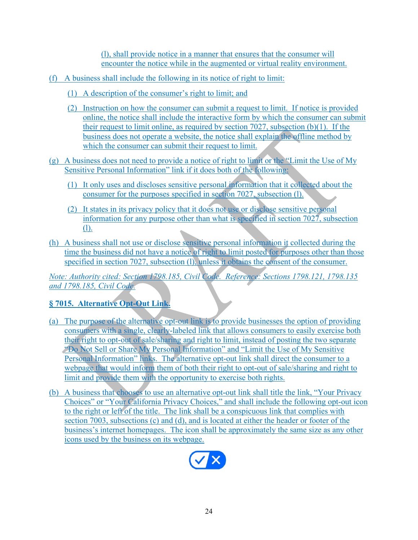(l), shall provide notice in a manner that ensures that the consumer will encounter the notice while in the augmented or virtual reality environment.

- (f) A business shall include the following in its notice of right to limit:
	- (1) A description of the consumer's right to limit; and
	- (2) Instruction on how the consumer can submit a request to limit. If notice is provided online, the notice shall include the interactive form by which the consumer can submit their request to limit online, as required by section 7027, subsection (b)(1). If the business does not operate a website, the notice shall explain the offline method by which the consumer can submit their request to limit.
- (g) A business does not need to provide a notice of right to limit or the "Limit the Use of My Sensitive Personal Information" link if it does both of the following:
	- (1) It only uses and discloses sensitive personal information that it collected about the consumer for the purposes specified in section 7027, subsection (l).
	- (2) It states in its privacy policy that it does not use or disclose sensitive personal information for any purpose other than what is specified in section 7027, subsection (l).
- (h) A business shall not use or disclose sensitive personal information it collected during the time the business did not have a notice of right to limit posted for purposes other than those specified in section 7027, subsection (1), unless it obtains the consent of the consumer.

*Note: Authority cited: Section 1798.185, Civil Code. Reference: Sections 1798.121, 1798.135 and 1798.185, Civil Code.* 

# **§ 7015. Alternative Opt-Out Link.**

- (a) The purpose of the alternative opt-out link is to provide businesses the option of providing consumers with a single, clearly-labeled link that allows consumers to easily exercise both their right to opt-out of sale/sharing and right to limit, instead of posting the two separate "Do Not Sell or Share My Personal Information" and "Limit the Use of My Sensitive Personal Information" links. The alternative opt-out link shall direct the consumer to a webpage that would inform them of both their right to opt-out of sale/sharing and right to limit and provide them with the opportunity to exercise both rights.
- (b) A business that chooses to use an alternative opt-out link shall title the link, "Your Privacy Choices" or "Your California Privacy Choices," and shall include the following opt-out icon to the right or left of the title. The link shall be a conspicuous link that complies with section 7003, subsections (c) and (d), and is located at either the header or footer of the business's internet homepages. The icon shall be approximately the same size as any other icons used by the business on its webpage.

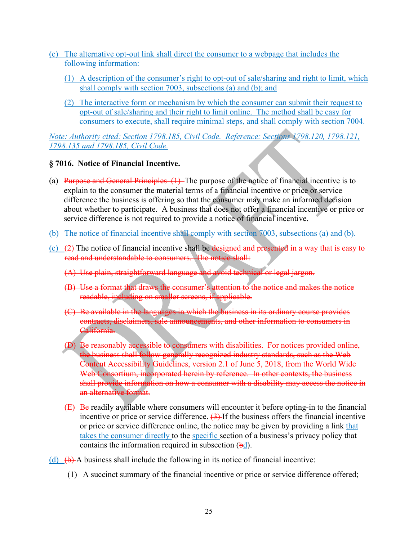- (c) The alternative opt-out link shall direct the consumer to a webpage that includes the following information:
	- (1) A description of the consumer's right to opt-out of sale/sharing and right to limit, which shall comply with section 7003, subsections (a) and (b); and
	- (2) The interactive form or mechanism by which the consumer can submit their request to opt-out of sale/sharing and their right to limit online. The method shall be easy for consumers to execute, shall require minimal steps, and shall comply with section 7004.

*Note: Authority cited: Section 1798.185, Civil Code. Reference: Sections 1798.120, 1798.121, 1798.135 and 1798.185, Civil Code.* 

#### **§ 7016. Notice of Financial Incentive.**

- (a) Purpose and General Principles (1) The purpose of the notice of financial incentive is to explain to the consumer the material terms of a financial incentive or price or service difference the business is offering so that the consumer may make an informed decision about whether to participate. A business that does not offer a financial incentive or price or service difference is not required to provide a notice of financial incentive.
- (b) The notice of financial incentive shall comply with section 7003, subsections (a) and (b).
- (c)  $(2)$  The notice of financial incentive shall be designed and presented in a way that is easy to read and understandable to consumers. The notice shall:
	- (A) Use plain, straightforward language and avoid technical or legal jargon.
	- (B) Use a format that draws the consumer's attention to the notice and makes the notice readable, including on smaller screens, if applicable.
	- (C) Be available in the languages in which the business in its ordinary course provides contracts, disclaimers, sale announcements, and other information to consumers in California.
	- (D) Be reasonably accessible to consumers with disabilities. For notices provided online, the business shall follow generally recognized industry standards, such as the Web Content Accessibility Guidelines, version 2.1 of June 5, 2018, from the World Wide Web Consortium, incorporated herein by reference. In other contexts, the business shall provide information on how a consumer with a disability may access the notice in an alternative format.
	- (E) Be readily available where consumers will encounter it before opting-in to the financial incentive or price or service difference.  $(3)$ -If the business offers the financial incentive or price or service difference online, the notice may be given by providing a link that takes the consumer directly to the specific section of a business's privacy policy that contains the information required in subsection  $(\frac{bd}{cd})$ .
- (d)  $(\theta)$  A business shall include the following in its notice of financial incentive:
	- (1) A succinct summary of the financial incentive or price or service difference offered;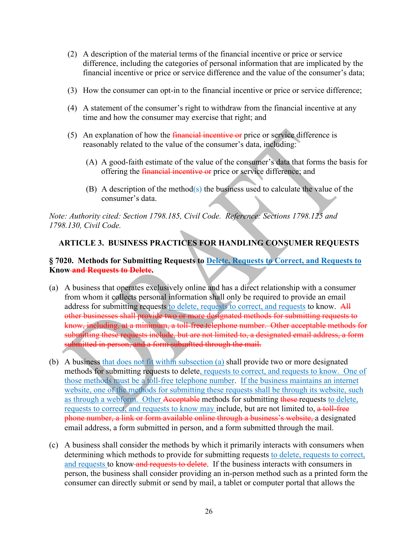- (2) A description of the material terms of the financial incentive or price or service difference, including the categories of personal information that are implicated by the financial incentive or price or service difference and the value of the consumer's data;
- (3) How the consumer can opt-in to the financial incentive or price or service difference;
- (4) A statement of the consumer's right to withdraw from the financial incentive at any time and how the consumer may exercise that right; and
- (5) An explanation of how the financial incentive or price or service difference is reasonably related to the value of the consumer's data, including:
	- (A) A good-faith estimate of the value of the consumer's data that forms the basis for offering the *financial incentive or* price or service difference; and
	- (B) A description of the method(s) the business used to calculate the value of the consumer's data.

*Note: Authority cited: Section 1798.185, Civil Code. Reference: Sections 1798.125 and 1798.130, Civil Code.* 

# **ARTICLE 3. BUSINESS PRACTICES FOR HANDLING CONSUMER REQUESTS**

#### **§ 7020. Methods for Submitting Requests to Delete, Requests to Correct, and Requests to Know and Requests to Delete.**

- (a) A business that operates exclusively online and has a direct relationship with a consumer from whom it collects personal information shall only be required to provide an email address for submitting requests to delete, requests to correct, and requests to know. All other businesses shall provide two or more designated methods for submitting requests to know, including, at a minimum, a toll-free telephone number. Other acceptable methods for submitting these requests include, but are not limited to, a designated email address, a form submitted in person, and a form submitted through the mail.
- (b) A business that does not fit within subsection (a) shall provide two or more designated methods for submitting requests to delete, requests to correct, and requests to know. One of those methods must be a toll-free telephone number. If the business maintains an internet website, one of the methods for submitting these requests shall be through its website, such as through a webform. Other Acceptable methods for submitting these requests to delete, requests to correct, and requests to know may include, but are not limited to, a toll-free phone number, a link or form available online through a business's website, a designated email address, a form submitted in person, and a form submitted through the mail.
- (c) A business shall consider the methods by which it primarily interacts with consumers when determining which methods to provide for submitting requests to delete, requests to correct, and requests to know and requests to delete. If the business interacts with consumers in person, the business shall consider providing an in-person method such as a printed form the consumer can directly submit or send by mail, a tablet or computer portal that allows the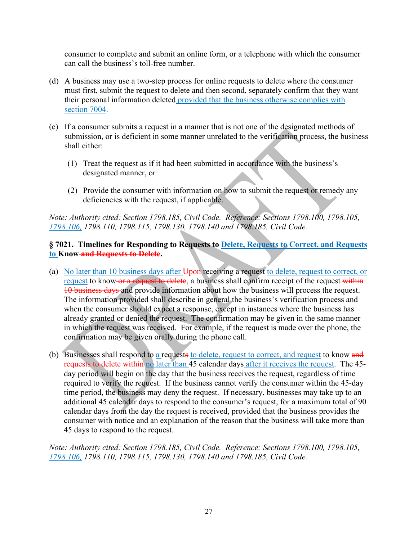consumer to complete and submit an online form, or a telephone with which the consumer can call the business's toll-free number.

- (d) A business may use a two-step process for online requests to delete where the consumer must first, submit the request to delete and then second, separately confirm that they want their personal information deleted provided that the business otherwise complies with section 7004.
- (e) If a consumer submits a request in a manner that is not one of the designated methods of submission, or is deficient in some manner unrelated to the verification process, the business shall either:
	- (1) Treat the request as if it had been submitted in accordance with the business's designated manner, or
	- (2) Provide the consumer with information on how to submit the request or remedy any deficiencies with the request, if applicable.

*Note: Authority cited: Section 1798.185, Civil Code. Reference: Sections 1798.100, 1798.105, 1798.106, 1798.110, 1798.115, 1798.130, 1798.140 and 1798.185, Civil Code.*

#### **§ 7021. Timelines for Responding to Requests to Delete, Requests to Correct, and Requests to Know and Requests to Delete.**

- (a) No later than 10 business days after Upon-receiving a request to delete, request to correct, or request to know or a request to delete, a business shall confirm receipt of the request within 10 business days and provide information about how the business will process the request. The information provided shall describe in general the business's verification process and when the consumer should expect a response, except in instances where the business has already granted or denied the request. The confirmation may be given in the same manner in which the request was received. For example, if the request is made over the phone, the confirmation may be given orally during the phone call.
- (b) Businesses shall respond to a request to delete, request to correct, and request to know and requests to delete within no later than 45 calendar days after it receives the request. The 45day period will begin on the day that the business receives the request, regardless of time required to verify the request. If the business cannot verify the consumer within the 45-day time period, the business may deny the request. If necessary, businesses may take up to an additional 45 calendar days to respond to the consumer's request, for a maximum total of 90 calendar days from the day the request is received, provided that the business provides the consumer with notice and an explanation of the reason that the business will take more than 45 days to respond to the request.

*Note: Authority cited: Section 1798.185, Civil Code. Reference: Sections 1798.100, 1798.105, 1798.106, 1798.110, 1798.115, 1798.130, 1798.140 and 1798.185, Civil Code.*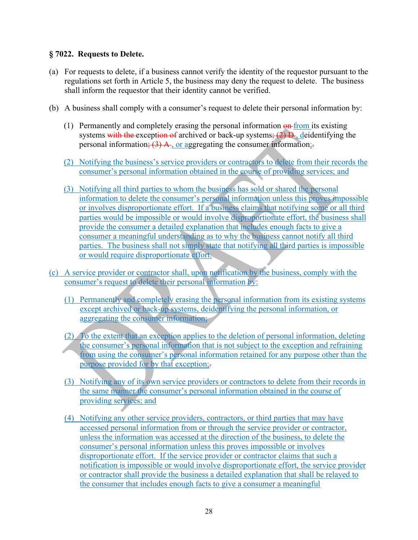#### **§ 7022. Requests to Delete.**

- (a) For requests to delete, if a business cannot verify the identity of the requestor pursuant to the regulations set forth in Article 5, the business may deny the request to delete. The business shall inform the requestor that their identity cannot be verified.
- (b) A business shall comply with a consumer's request to delete their personal information by:
	- (1) Permanently and completely erasing the personal information  $\Theta$ -from its existing systems with the exception of archived or back-up systems;  $(2)$  D, deidentifying the personal information;  $(3)$  A, or aggregating the consumer information;
	- (2) Notifying the business's service providers or contractors to delete from their records the consumer's personal information obtained in the course of providing services; and
	- (3) Notifying all third parties to whom the business has sold or shared the personal information to delete the consumer's personal information unless this proves impossible or involves disproportionate effort. If a business claims that notifying some or all third parties would be impossible or would involve disproportionate effort, the business shall provide the consumer a detailed explanation that includes enough facts to give a consumer a meaningful understanding as to why the business cannot notify all third parties. The business shall not simply state that notifying all third parties is impossible or would require disproportionate effort.
- (c) A service provider or contractor shall, upon notification by the business, comply with the consumer's request to delete their personal information by:
	- (1) Permanently and completely erasing the personal information from its existing systems except archived or back-up systems, deidentifying the personal information, or aggregating the consumer information;
	- (2) To the extent that an exception applies to the deletion of personal information, deleting the consumer's personal information that is not subject to the exception and refraining from using the consumer's personal information retained for any purpose other than the purpose provided for by that exception;.
	- (3) Notifying any of its own service providers or contractors to delete from their records in the same manner the consumer's personal information obtained in the course of providing services; and
	- (4) Notifying any other service providers, contractors, or third parties that may have accessed personal information from or through the service provider or contractor, unless the information was accessed at the direction of the business, to delete the consumer's personal information unless this proves impossible or involves disproportionate effort. If the service provider or contractor claims that such a notification is impossible or would involve disproportionate effort, the service provider or contractor shall provide the business a detailed explanation that shall be relayed to the consumer that includes enough facts to give a consumer a meaningful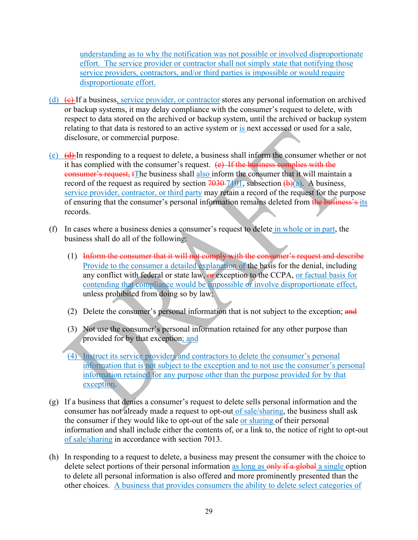understanding as to why the notification was not possible or involved disproportionate effort. The service provider or contractor shall not simply state that notifying those service providers, contractors, and/or third parties is impossible or would require disproportionate effort.

- (d)  $\left( \epsilon \right)$  If a business, service provider, or contractor stores any personal information on archived or backup systems, it may delay compliance with the consumer's request to delete, with respect to data stored on the archived or backup system, until the archived or backup system relating to that data is restored to an active system or is next accessed or used for a sale, disclosure, or commercial purpose.
- (e) (d) In responding to a request to delete, a business shall inform the consumer whether or not it has complied with the consumer's request.  $(e)$  If the business complies with the consumer's request, tThe business shall also inform the consumer that it will maintain a record of the request as required by section  $7030 - 7101$ , subsection  $(b)(a)$ . A business, service provider, contractor, or third party may retain a record of the request for the purpose of ensuring that the consumer's personal information remains deleted from the business's its records.
- (f) In cases where a business denies a consumer's request to delete in whole or in part, the business shall do all of the following:
	- (1) Inform the consumer that it will not comply with the consumer's request and describe Provide to the consumer a detailed explanation of the basis for the denial, including any conflict with federal or state law, or exception to the CCPA, or factual basis for contending that compliance would be impossible or involve disproportionate effect, unless prohibited from doing so by law;
	- (2) Delete the consumer's personal information that is not subject to the exception; and
	- (3) Not use the consumer's personal information retained for any other purpose than provided for by that exception; and
	- (4) Instruct its service providers and contractors to delete the consumer's personal information that is not subject to the exception and to not use the consumer's personal information retained for any purpose other than the purpose provided for by that exception.
- (g) If a business that denies a consumer's request to delete sells personal information and the consumer has not already made a request to opt-out of sale/sharing, the business shall ask the consumer if they would like to opt-out of the sale or sharing of their personal information and shall include either the contents of, or a link to, the notice of right to opt-out of sale/sharing in accordance with section 7013.
- (h) In responding to a request to delete, a business may present the consumer with the choice to delete select portions of their personal information as long as only if a global a single option to delete all personal information is also offered and more prominently presented than the other choices. A business that provides consumers the ability to delete select categories of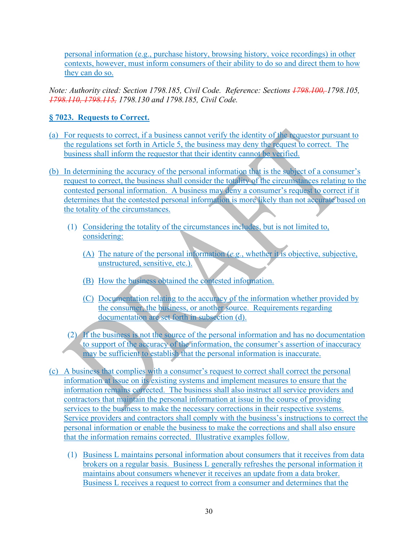personal information (e.g., purchase history, browsing history, voice recordings) in other contexts, however, must inform consumers of their ability to do so and direct them to how they can do so.

*Note: Authority cited: Section 1798.185, Civil Code. Reference: Sections 1798.100, 1798.105, 1798.110, 1798.115, 1798.130 and 1798.185, Civil Code.* 

### **§ 7023. Requests to Correct.**

- (a) For requests to correct, if a business cannot verify the identity of the requestor pursuant to the regulations set forth in Article 5, the business may deny the request to correct. The business shall inform the requestor that their identity cannot be verified.
- (b) In determining the accuracy of the personal information that is the subject of a consumer's request to correct, the business shall consider the totality of the circumstances relating to the contested personal information. A business may deny a consumer's request to correct if it determines that the contested personal information is more likely than not accurate based on the totality of the circumstances.
	- (1) Considering the totality of the circumstances includes, but is not limited to, considering:
		- (A) The nature of the personal information (*e.g.*, whether it is objective, subjective, unstructured, sensitive, etc.).
		- (B) How the business obtained the contested information.
		- (C) Documentation relating to the accuracy of the information whether provided by the consumer, the business, or another source. Requirements regarding documentation are set forth in subsection (d).
	- (2) If the business is not the source of the personal information and has no documentation to support of the accuracy of the information, the consumer's assertion of inaccuracy may be sufficient to establish that the personal information is inaccurate.
- (c) A business that complies with a consumer's request to correct shall correct the personal information at issue on its existing systems and implement measures to ensure that the information remains corrected. The business shall also instruct all service providers and contractors that maintain the personal information at issue in the course of providing services to the business to make the necessary corrections in their respective systems. Service providers and contractors shall comply with the business's instructions to correct the personal information or enable the business to make the corrections and shall also ensure that the information remains corrected. Illustrative examples follow.
	- (1) Business L maintains personal information about consumers that it receives from data brokers on a regular basis. Business L generally refreshes the personal information it maintains about consumers whenever it receives an update from a data broker. Business L receives a request to correct from a consumer and determines that the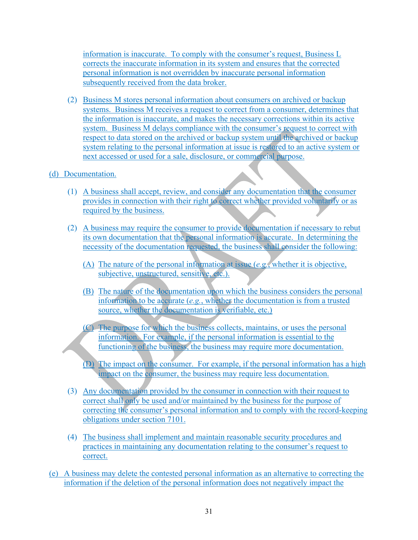information is inaccurate. To comply with the consumer's request, Business L corrects the inaccurate information in its system and ensures that the corrected personal information is not overridden by inaccurate personal information subsequently received from the data broker.

(2) Business M stores personal information about consumers on archived or backup systems. Business M receives a request to correct from a consumer, determines that the information is inaccurate, and makes the necessary corrections within its active system. Business M delays compliance with the consumer's request to correct with respect to data stored on the archived or backup system until the archived or backup system relating to the personal information at issue is restored to an active system or next accessed or used for a sale, disclosure, or commercial purpose.

#### (d) Documentation.

- (1) A business shall accept, review, and consider any documentation that the consumer provides in connection with their right to correct whether provided voluntarily or as required by the business.
- (2) A business may require the consumer to provide documentation if necessary to rebut its own documentation that the personal information is accurate. In determining the necessity of the documentation requested, the business shall consider the following:
	- (A) The nature of the personal information at issue (*e.g.*, whether it is objective, subjective, unstructured, sensitive, etc.).
	- (B) The nature of the documentation upon which the business considers the personal information to be accurate (*e.g.*, whether the documentation is from a trusted source, whether the documentation is verifiable, etc.)
	- (C) The purpose for which the business collects, maintains, or uses the personal information. For example, if the personal information is essential to the functioning of the business, the business may require more documentation.
	- (D) The impact on the consumer. For example, if the personal information has a high impact on the consumer, the business may require less documentation.
- (3) Any documentation provided by the consumer in connection with their request to correct shall only be used and/or maintained by the business for the purpose of correcting the consumer's personal information and to comply with the record-keeping obligations under section 7101.
- (4) The business shall implement and maintain reasonable security procedures and practices in maintaining any documentation relating to the consumer's request to correct.
- (e) A business may delete the contested personal information as an alternative to correcting the information if the deletion of the personal information does not negatively impact the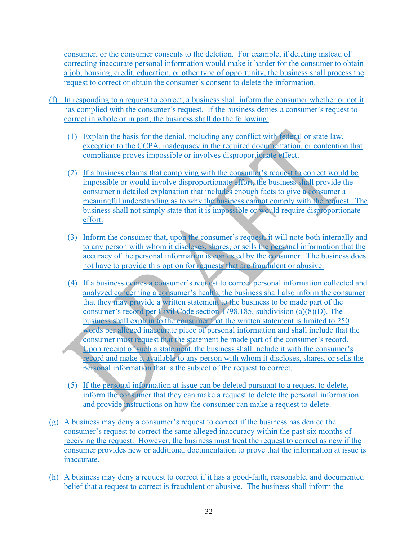consumer, or the consumer consents to the deletion. For example, if deleting instead of correcting inaccurate personal information would make it harder for the consumer to obtain a job, housing, credit, education, or other type of opportunity, the business shall process the request to correct or obtain the consumer's consent to delete the information.

- (f) In responding to a request to correct, a business shall inform the consumer whether or not it has complied with the consumer's request. If the business denies a consumer's request to correct in whole or in part, the business shall do the following:
	- (1) Explain the basis for the denial, including any conflict with federal or state law, exception to the CCPA, inadequacy in the required documentation, or contention that compliance proves impossible or involves disproportionate effect.
	- (2) If a business claims that complying with the consumer's request to correct would be impossible or would involve disproportionate effort, the business shall provide the consumer a detailed explanation that includes enough facts to give a consumer a meaningful understanding as to why the business cannot comply with the request. The business shall not simply state that it is impossible or would require disproportionate effort.
	- (3) Inform the consumer that, upon the consumer's request, it will note both internally and to any person with whom it discloses, shares, or sells the personal information that the accuracy of the personal information is contested by the consumer. The business does not have to provide this option for requests that are fraudulent or abusive.
	- (4) If a business denies a consumer's request to correct personal information collected and analyzed concerning a consumer's health, the business shall also inform the consumer that they may provide a written statement to the business to be made part of the consumer's record per Civil Code section 1798.185, subdivision (a)(8)(D). The business shall explain to the consumer that the written statement is limited to 250 words per alleged inaccurate piece of personal information and shall include that the consumer must request that the statement be made part of the consumer's record. Upon receipt of such a statement, the business shall include it with the consumer's record and make it available to any person with whom it discloses, shares, or sells the personal information that is the subject of the request to correct.
	- (5) If the personal information at issue can be deleted pursuant to a request to delete, inform the consumer that they can make a request to delete the personal information and provide instructions on how the consumer can make a request to delete.
- (g) A business may deny a consumer's request to correct if the business has denied the consumer's request to correct the same alleged inaccuracy within the past six months of receiving the request. However, the business must treat the request to correct as new if the consumer provides new or additional documentation to prove that the information at issue is inaccurate.
- (h) A business may deny a request to correct if it has a good-faith, reasonable, and documented belief that a request to correct is fraudulent or abusive. The business shall inform the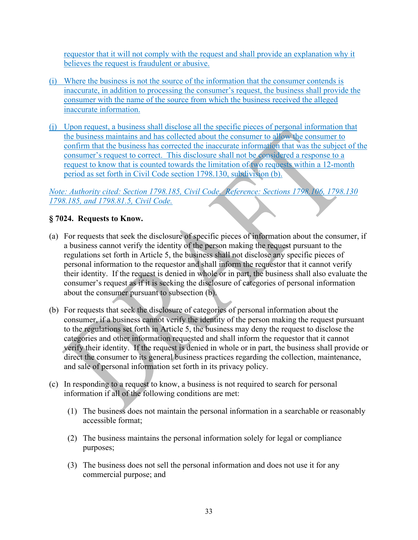requestor that it will not comply with the request and shall provide an explanation why it believes the request is fraudulent or abusive.

- (i) Where the business is not the source of the information that the consumer contends is inaccurate, in addition to processing the consumer's request, the business shall provide the consumer with the name of the source from which the business received the alleged inaccurate information.
- (j) Upon request, a business shall disclose all the specific pieces of personal information that the business maintains and has collected about the consumer to allow the consumer to confirm that the business has corrected the inaccurate information that was the subject of the consumer's request to correct. This disclosure shall not be considered a response to a request to know that is counted towards the limitation of two requests within a 12-month period as set forth in Civil Code section 1798.130, subdivision (b).

### *Note: Authority cited: Section 1798.185, Civil Code. Reference: Sections 1798.106, 1798.130 1798.185, and 1798.81.5, Civil Code.*

### **§ 7024. Requests to Know.**

- (a) For requests that seek the disclosure of specific pieces of information about the consumer, if a business cannot verify the identity of the person making the request pursuant to the regulations set forth in Article 5, the business shall not disclose any specific pieces of personal information to the requestor and shall inform the requestor that it cannot verify their identity. If the request is denied in whole or in part, the business shall also evaluate the consumer's request as if it is seeking the disclosure of categories of personal information about the consumer pursuant to subsection (b).
- (b) For requests that seek the disclosure of categories of personal information about the consumer, if a business cannot verify the identity of the person making the request pursuant to the regulations set forth in Article 5, the business may deny the request to disclose the categories and other information requested and shall inform the requestor that it cannot verify their identity. If the request is denied in whole or in part, the business shall provide or direct the consumer to its general business practices regarding the collection, maintenance, and sale of personal information set forth in its privacy policy.
- (c) In responding to a request to know, a business is not required to search for personal information if all of the following conditions are met:
	- (1) The business does not maintain the personal information in a searchable or reasonably accessible format;
	- (2) The business maintains the personal information solely for legal or compliance purposes;
	- (3) The business does not sell the personal information and does not use it for any commercial purpose; and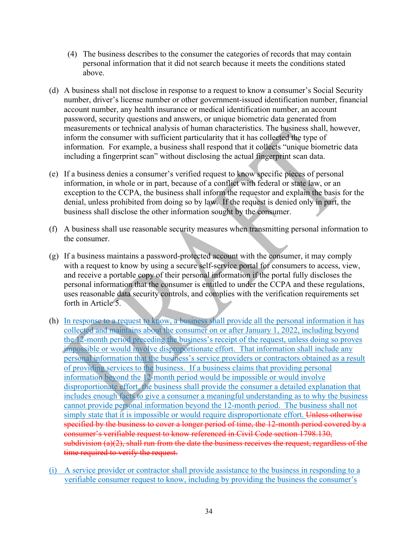- (4) The business describes to the consumer the categories of records that may contain personal information that it did not search because it meets the conditions stated above.
- (d) A business shall not disclose in response to a request to know a consumer's Social Security number, driver's license number or other government-issued identification number, financial account number, any health insurance or medical identification number, an account password, security questions and answers, or unique biometric data generated from measurements or technical analysis of human characteristics. The business shall, however, inform the consumer with sufficient particularity that it has collected the type of information. For example, a business shall respond that it collects "unique biometric data including a fingerprint scan" without disclosing the actual fingerprint scan data.
- (e) If a business denies a consumer's verified request to know specific pieces of personal information, in whole or in part, because of a conflict with federal or state law, or an exception to the CCPA, the business shall inform the requestor and explain the basis for the denial, unless prohibited from doing so by law. If the request is denied only in part, the business shall disclose the other information sought by the consumer.
- (f) A business shall use reasonable security measures when transmitting personal information to the consumer.
- (g) If a business maintains a password-protected account with the consumer, it may comply with a request to know by using a secure self-service portal for consumers to access, view, and receive a portable copy of their personal information if the portal fully discloses the personal information that the consumer is entitled to under the CCPA and these regulations, uses reasonable data security controls, and complies with the verification requirements set forth in Article 5.
- (h) In response to a request to know, a business shall provide all the personal information it has collected and maintains about the consumer on or after January 1, 2022, including beyond the 12-month period preceding the business's receipt of the request, unless doing so proves impossible or would involve disproportionate effort. That information shall include any personal information that the business's service providers or contractors obtained as a result of providing services to the business. If a business claims that providing personal information beyond the 12-month period would be impossible or would involve disproportionate effort, the business shall provide the consumer a detailed explanation that includes enough facts to give a consumer a meaningful understanding as to why the business cannot provide personal information beyond the 12-month period. The business shall not simply state that it is impossible or would require disproportionate effort. Unless otherwise specified by the business to cover a longer period of time, the 12-month period covered by a consumer's verifiable request to know referenced in Civil Code section 1798.130, subdivision (a)(2), shall run from the date the business receives the request, regardless of the time required to verify the request.
- (i) A service provider or contractor shall provide assistance to the business in responding to a verifiable consumer request to know, including by providing the business the consumer's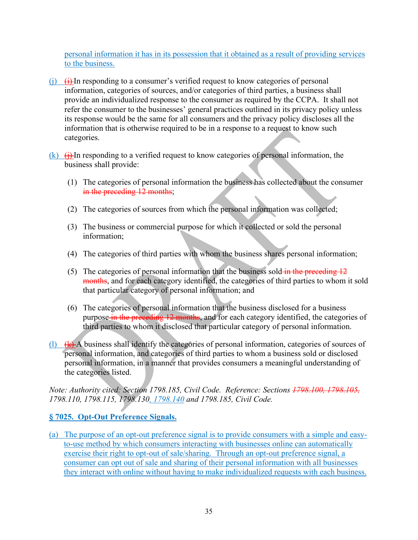personal information it has in its possession that it obtained as a result of providing services to the business.

- $(i)$   $(i)$  In responding to a consumer's verified request to know categories of personal information, categories of sources, and/or categories of third parties, a business shall provide an individualized response to the consumer as required by the CCPA. It shall not refer the consumer to the businesses' general practices outlined in its privacy policy unless its response would be the same for all consumers and the privacy policy discloses all the information that is otherwise required to be in a response to a request to know such categories.
- $(k)$   $(i)$  In responding to a verified request to know categories of personal information, the business shall provide:
	- (1) The categories of personal information the business has collected about the consumer in the preceding 12 months;
	- (2) The categories of sources from which the personal information was collected;
	- (3) The business or commercial purpose for which it collected or sold the personal information;
	- (4) The categories of third parties with whom the business shares personal information;
	- (5) The categories of personal information that the business sold in the preceding  $12$ months, and for each category identified, the categories of third parties to whom it sold that particular category of personal information; and
	- (6) The categories of personal information that the business disclosed for a business purpose in the preceding 12 months, and for each category identified, the categories of third parties to whom it disclosed that particular category of personal information.
- (1)  $(k)$  A business shall identify the categories of personal information, categories of sources of personal information, and categories of third parties to whom a business sold or disclosed personal information, in a manner that provides consumers a meaningful understanding of the categories listed.

*Note: Authority cited: Section 1798.185, Civil Code. Reference: Sections 1798.100, 1798.105, 1798.110, 1798.115, 1798.130, 1798.140 and 1798.185, Civil Code.* 

# **§ 7025. Opt-Out Preference Signals.**

(a) The purpose of an opt-out preference signal is to provide consumers with a simple and easyto-use method by which consumers interacting with businesses online can automatically exercise their right to opt-out of sale/sharing. Through an opt-out preference signal, a consumer can opt out of sale and sharing of their personal information with all businesses they interact with online without having to make individualized requests with each business.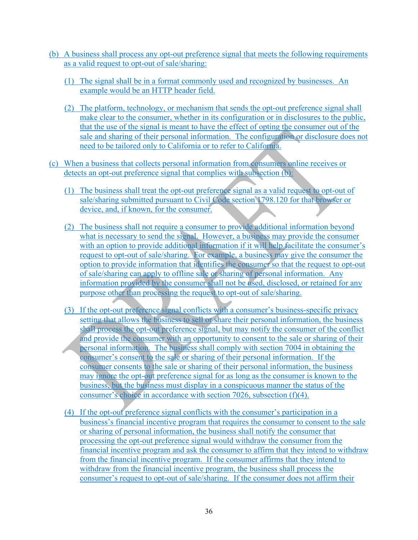- (b) A business shall process any opt-out preference signal that meets the following requirements as a valid request to opt-out of sale/sharing:
	- (1) The signal shall be in a format commonly used and recognized by businesses. An example would be an HTTP header field.
	- (2) The platform, technology, or mechanism that sends the opt-out preference signal shall make clear to the consumer, whether in its configuration or in disclosures to the public, that the use of the signal is meant to have the effect of opting the consumer out of the sale and sharing of their personal information. The configuration or disclosure does not need to be tailored only to California or to refer to California.
- (c) When a business that collects personal information from consumers online receives or detects an opt-out preference signal that complies with subsection (b):
	- (1) The business shall treat the opt-out preference signal as a valid request to opt-out of sale/sharing submitted pursuant to Civil Code section 1798.120 for that browser or device, and, if known, for the consumer.
	- (2) The business shall not require a consumer to provide additional information beyond what is necessary to send the signal. However, a business may provide the consumer with an option to provide additional information if it will help facilitate the consumer's request to opt-out of sale/sharing. For example, a business may give the consumer the option to provide information that identifies the consumer so that the request to opt-out of sale/sharing can apply to offline sale or sharing of personal information. Any information provided by the consumer shall not be used, disclosed, or retained for any purpose other than processing the request to opt-out of sale/sharing.
	- (3) If the opt-out preference signal conflicts with a consumer's business-specific privacy setting that allows the business to sell or share their personal information, the business shall process the opt-out preference signal, but may notify the consumer of the conflict and provide the consumer with an opportunity to consent to the sale or sharing of their personal information. The business shall comply with section 7004 in obtaining the consumer's consent to the sale or sharing of their personal information. If the consumer consents to the sale or sharing of their personal information, the business may ignore the opt-out preference signal for as long as the consumer is known to the business, but the business must display in a conspicuous manner the status of the consumer's choice in accordance with section 7026, subsection (f)(4).
	- (4) If the opt-out preference signal conflicts with the consumer's participation in a business's financial incentive program that requires the consumer to consent to the sale or sharing of personal information, the business shall notify the consumer that processing the opt-out preference signal would withdraw the consumer from the financial incentive program and ask the consumer to affirm that they intend to withdraw from the financial incentive program. If the consumer affirms that they intend to withdraw from the financial incentive program, the business shall process the consumer's request to opt-out of sale/sharing. If the consumer does not affirm their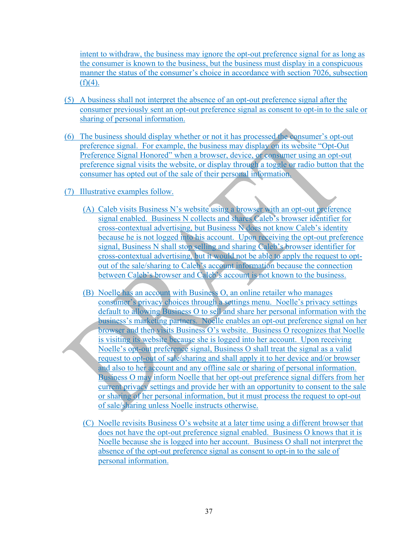intent to withdraw, the business may ignore the opt-out preference signal for as long as the consumer is known to the business, but the business must display in a conspicuous manner the status of the consumer's choice in accordance with section 7026, subsection  $(f)(4)$ .

- (5) A business shall not interpret the absence of an opt-out preference signal after the consumer previously sent an opt-out preference signal as consent to opt-in to the sale or sharing of personal information.
- (6) The business should display whether or not it has processed the consumer's opt-out preference signal. For example, the business may display on its website "Opt-Out Preference Signal Honored" when a browser, device, or consumer using an opt-out preference signal visits the website, or display through a toggle or radio button that the consumer has opted out of the sale of their personal information.
- (7) Illustrative examples follow.
	- (A) Caleb visits Business N's website using a browser with an opt-out preference signal enabled. Business N collects and shares Caleb's browser identifier for cross-contextual advertising, but Business N does not know Caleb's identity because he is not logged into his account. Upon receiving the opt-out preference signal, Business N shall stop selling and sharing Caleb's browser identifier for cross-contextual advertising, but it would not be able to apply the request to optout of the sale/sharing to Caleb's account information because the connection between Caleb's browser and Caleb's account is not known to the business.
	- (B) Noelle has an account with Business O, an online retailer who manages consumer's privacy choices through a settings menu. Noelle's privacy settings default to allowing Business O to sell and share her personal information with the business's marketing partners. Noelle enables an opt-out preference signal on her browser and then visits Business O's website. Business O recognizes that Noelle is visiting its website because she is logged into her account. Upon receiving Noelle's opt-out preference signal, Business O shall treat the signal as a valid request to opt-out of sale/sharing and shall apply it to her device and/or browser and also to her account and any offline sale or sharing of personal information. Business O may inform Noelle that her opt-out preference signal differs from her current privacy settings and provide her with an opportunity to consent to the sale or sharing of her personal information, but it must process the request to opt-out of sale/sharing unless Noelle instructs otherwise.
	- (C) Noelle revisits Business O's website at a later time using a different browser that does not have the opt-out preference signal enabled. Business O knows that it is Noelle because she is logged into her account. Business O shall not interpret the absence of the opt-out preference signal as consent to opt-in to the sale of personal information.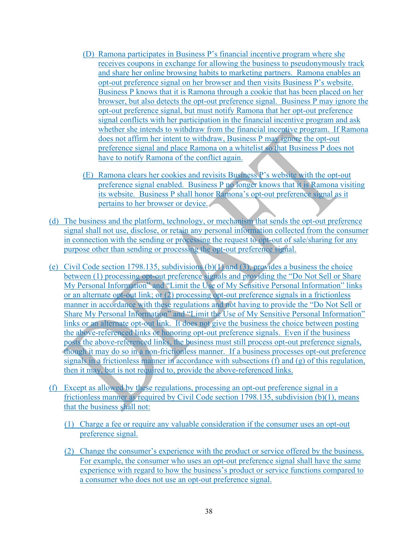- (D) Ramona participates in Business P's financial incentive program where she receives coupons in exchange for allowing the business to pseudonymously track and share her online browsing habits to marketing partners. Ramona enables an opt-out preference signal on her browser and then visits Business P's website. Business P knows that it is Ramona through a cookie that has been placed on her browser, but also detects the opt-out preference signal. Business P may ignore the opt-out preference signal, but must notify Ramona that her opt-out preference signal conflicts with her participation in the financial incentive program and ask whether she intends to withdraw from the financial incentive program. If Ramona does not affirm her intent to withdraw, Business P may ignore the opt-out preference signal and place Ramona on a whitelist so that Business P does not have to notify Ramona of the conflict again.
- (E) Ramona clears her cookies and revisits Business P's website with the opt-out preference signal enabled. Business P no longer knows that it is Ramona visiting its website. Business P shall honor Ramona's opt-out preference signal as it pertains to her browser or device.
- (d) The business and the platform, technology, or mechanism that sends the opt-out preference signal shall not use, disclose, or retain any personal information collected from the consumer in connection with the sending or processing the request to opt-out of sale/sharing for any purpose other than sending or processing the opt-out preference signal.
- (e) Civil Code section 1798.135, subdivisions (b)(1) and (3), provides a business the choice between (1) processing opt-out preference signals and providing the "Do Not Sell or Share My Personal Information" and "Limit the Use of My Sensitive Personal Information" links or an alternate opt-out link; or (2) processing opt-out preference signals in a frictionless manner in accordance with these regulations and not having to provide the "Do Not Sell or Share My Personal Information" and "Limit the Use of My Sensitive Personal Information" links or an alternate opt-out link. It does not give the business the choice between posting the above-referenced links or honoring opt-out preference signals. Even if the business posts the above-referenced links, the business must still process opt-out preference signals, though it may do so in a non-frictionless manner. If a business processes opt-out preference signals in a frictionless manner in accordance with subsections  $(f)$  and  $(g)$  of this regulation, then it may, but is not required to, provide the above-referenced links.
- (f) Except as allowed by these regulations, processing an opt-out preference signal in a frictionless manner as required by Civil Code section 1798.135, subdivision (b)(1), means that the business shall not:
	- (1) Charge a fee or require any valuable consideration if the consumer uses an opt-out preference signal.
	- (2) Change the consumer's experience with the product or service offered by the business. For example, the consumer who uses an opt-out preference signal shall have the same experience with regard to how the business's product or service functions compared to a consumer who does not use an opt-out preference signal.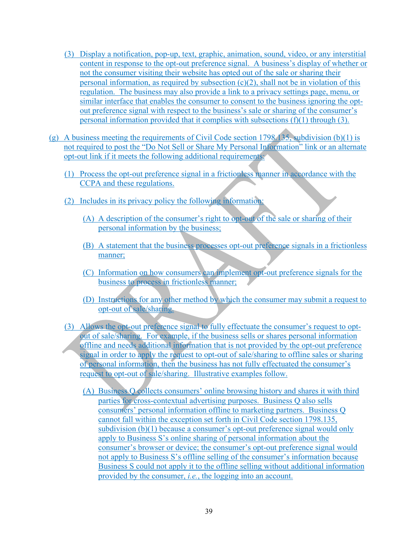- (3) Display a notification, pop-up, text, graphic, animation, sound, video, or any interstitial content in response to the opt-out preference signal. A business's display of whether or not the consumer visiting their website has opted out of the sale or sharing their personal information, as required by subsection  $(c)(2)$ , shall not be in violation of this regulation. The business may also provide a link to a privacy settings page, menu, or similar interface that enables the consumer to consent to the business ignoring the optout preference signal with respect to the business's sale or sharing of the consumer's personal information provided that it complies with subsections (f)(1) through (3).
- (g) A business meeting the requirements of Civil Code section 1798.135, subdivision (b)(1) is not required to post the "Do Not Sell or Share My Personal Information" link or an alternate opt-out link if it meets the following additional requirements:
	- (1) Process the opt-out preference signal in a frictionless manner in accordance with the CCPA and these regulations.
	- (2) Includes in its privacy policy the following information:
		- (A) A description of the consumer's right to opt-out of the sale or sharing of their personal information by the business;
		- (B) A statement that the business processes opt-out preference signals in a frictionless manner;
		- (C) Information on how consumers can implement opt-out preference signals for the business to process in frictionless manner;
		- (D) Instructions for any other method by which the consumer may submit a request to opt-out of sale/sharing.
	- (3) Allows the opt-out preference signal to fully effectuate the consumer's request to optout of sale/sharing. For example, if the business sells or shares personal information offline and needs additional information that is not provided by the opt-out preference signal in order to apply the request to opt-out of sale/sharing to offline sales or sharing of personal information, then the business has not fully effectuated the consumer's request to opt-out of sale/sharing. Illustrative examples follow.
		- (A) Business Q collects consumers' online browsing history and shares it with third parties for cross-contextual advertising purposes. Business Q also sells consumers' personal information offline to marketing partners. Business Q cannot fall within the exception set forth in Civil Code section 1798.135, subdivision (b)(1) because a consumer's opt-out preference signal would only apply to Business S's online sharing of personal information about the consumer's browser or device; the consumer's opt-out preference signal would not apply to Business S's offline selling of the consumer's information because Business S could not apply it to the offline selling without additional information provided by the consumer, *i.e.*, the logging into an account.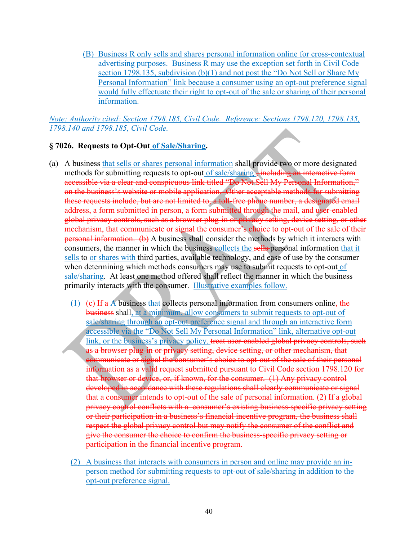(B) Business R only sells and shares personal information online for cross-contextual advertising purposes. Business R may use the exception set forth in Civil Code section 1798.135, subdivision (b)(1) and not post the "Do Not Sell or Share My Personal Information" link because a consumer using an opt-out preference signal would fully effectuate their right to opt-out of the sale or sharing of their personal information.

*Note: Authority cited: Section 1798.185, Civil Code. Reference: Sections 1798.120, 1798.135, 1798.140 and 1798.185, Civil Code.* 

#### **§ 7026. Requests to Opt-Out of Sale/Sharing.**

- (a) A business that sells or shares personal information shall provide two or more designated methods for submitting requests to opt-out of sale/sharing., including an interactive form accessible via a clear and conspicuous link titled "Do Not Sell My Personal Information," on the business's website or mobile application. Other acceptable methods for submitting these requests include, but are not limited to, a toll-free phone number, a designated email address, a form submitted in person, a form submitted through the mail, and user-enabled global privacy controls, such as a browser plug-in or privacy setting, device setting, or other mechanism, that communicate or signal the consumer's choice to opt-out of the sale of their personal information. (b) A business shall consider the methods by which it interacts with consumers, the manner in which the business collects the sells personal information that it sells to or shares with third parties, available technology, and ease of use by the consumer when determining which methods consumers may use to submit requests to opt-out of sale/sharing. At least one method offered shall reflect the manner in which the business primarily interacts with the consumer. Illustrative examples follow.
	- (1) (e) If  $a$  A business that collects personal information from consumers online, the business shall, at a minimum, allow consumers to submit requests to opt-out of sale/sharing through an opt-out preference signal and through an interactive form accessible via the "Do Not Sell My Personal Information" link, alternative opt-out link, or the business's privacy policy. treat user-enabled global privacy controls, such as a browser plug-in or privacy setting, device setting, or other mechanism, that communicate or signal the consumer's choice to opt-out of the sale of their personal information as a valid request submitted pursuant to Civil Code section 1798.120 for that browser or device, or, if known, for the consumer. (1) Any privacy control developed in accordance with these regulations shall clearly communicate or signal that a consumer intends to opt-out of the sale of personal information. (2) If a global privacy control conflicts with a consumer's existing business-specific privacy setting or their participation in a business's financial incentive program, the business shall respect the global privacy control but may notify the consumer of the conflict and give the consumer the choice to confirm the business-specific privacy setting or participation in the financial incentive program.
	- (2) A business that interacts with consumers in person and online may provide an inperson method for submitting requests to opt-out of sale/sharing in addition to the opt-out preference signal.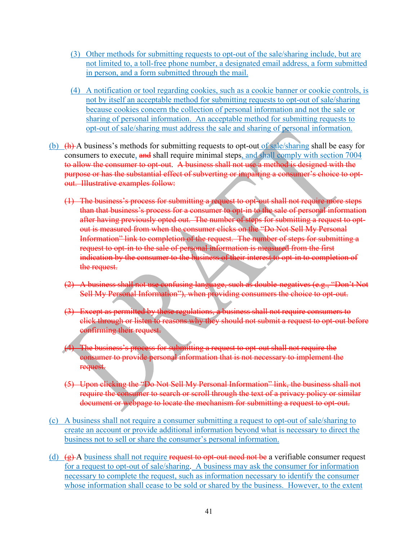- (3) Other methods for submitting requests to opt-out of the sale/sharing include, but are not limited to, a toll-free phone number, a designated email address, a form submitted in person, and a form submitted through the mail.
- (4) A notification or tool regarding cookies, such as a cookie banner or cookie controls, is not by itself an acceptable method for submitting requests to opt-out of sale/sharing because cookies concern the collection of personal information and not the sale or sharing of personal information. An acceptable method for submitting requests to opt-out of sale/sharing must address the sale and sharing of personal information.
- (b)  $(h)$  A business's methods for submitting requests to opt-out of sale/sharing shall be easy for consumers to execute, and shall require minimal steps, and shall comply with section 7004 to allow the consumer to opt-out. A business shall not use a method is designed with the purpose or has the substantial effect of subverting or impairing a consumer's choice to optout. Illustrative examples follow:
	- (1) The business's process for submitting a request to opt-out shall not require more steps than that business's process for a consumer to opt-in to the sale of personal information after having previously opted out. The number of steps for submitting a request to optout is measured from when the consumer clicks on the "Do Not Sell My Personal Information" link to completion of the request. The number of steps for submitting a request to opt-in to the sale of personal information is measured from the first indication by the consumer to the business of their interest to opt-in to completion of the request.
	- (2) A business shall not use confusing language, such as double-negatives (e.g., "Don't Not Sell My Personal Information"), when providing consumers the choice to opt-out.
	- (3) Except as permitted by these regulations, a business shall not require consumers to click through or listen to reasons why they should not submit a request to opt-out before confirming their request.
	- (4) The business's process for submitting a request to opt-out shall not require the consumer to provide personal information that is not necessary to implement the request.
	- (5) Upon clicking the "Do Not Sell My Personal Information" link, the business shall not require the consumer to search or scroll through the text of a privacy policy or similar document or webpage to locate the mechanism for submitting a request to opt-out.
- (c) A business shall not require a consumer submitting a request to opt-out of sale/sharing to create an account or provide additional information beyond what is necessary to direct the business not to sell or share the consumer's personal information.
- (d)  $(g)$  A business shall not require request to opt-out need not be a verifiable consumer request for a request to opt-out of sale/sharing. A business may ask the consumer for information necessary to complete the request, such as information necessary to identify the consumer whose information shall cease to be sold or shared by the business. However, to the extent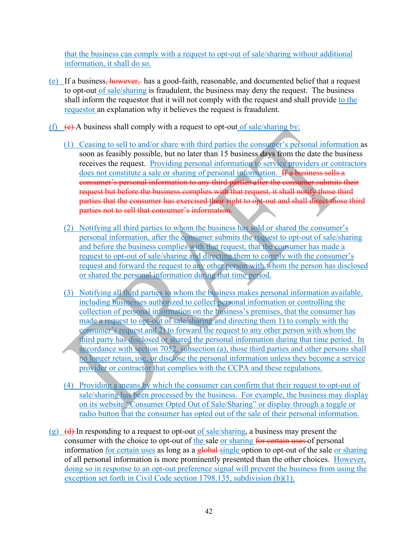that the business can comply with a request to opt-out of sale/sharing without additional information, it shall do so.

- (e) If a business, however, has a good-faith, reasonable, and documented belief that a request to opt-out of sale/sharing is fraudulent, the business may deny the request. The business shall inform the requestor that it will not comply with the request and shall provide to the requestor an explanation why it believes the request is fraudulent.
- (f)  $(e)$  A business shall comply with a request to opt-out of sale/sharing by:
	- (1) Ceasing to sell to and/or share with third parties the consumer's personal information as soon as feasibly possible, but no later than 15 business days from the date the business receives the request. Providing personal information to service providers or contractors does not constitute a sale or sharing of personal information. If a business sells a consumer's personal information to any third parties after the consumer submits their request but before the business complies with that request, it shall notify those third parties that the consumer has exercised their right to opt-out and shall direct those third parties not to sell that consumer's information.
	- (2) Notifying all third parties to whom the business has sold or shared the consumer's personal information, after the consumer submits the request to opt-out of sale/sharing and before the business complies with that request, that the consumer has made a request to opt-out of sale/sharing and directing them to comply with the consumer's request and forward the request to any other person with whom the person has disclosed or shared the personal information during that time period.
	- (3) Notifying all third parties to whom the business makes personal information available, including businesses authorized to collect personal information or controlling the collection of personal information on the business's premises, that the consumer has made a request to opt-out of sale/sharing and directing them 1) to comply with the consumer's request and 2) to forward the request to any other person with whom the third party has disclosed or shared the personal information during that time period. In accordance with section 7052, subsection (a), those third parties and other persons shall no longer retain, use, or disclose the personal information unless they become a service provider or contractor that complies with the CCPA and these regulations.
	- (4) Providing a means by which the consumer can confirm that their request to opt-out of sale/sharing has been processed by the business. For example, the business may display on its website "Consumer Opted Out of Sale/Sharing" or display through a toggle or radio button that the consumer has opted out of the sale of their personal information.
- (g)  $(d)$ -In responding to a request to opt-out of sale/sharing, a business may present the consumer with the choice to opt-out of the sale or sharing for certain uses of personal information for certain uses as long as a global-single option to opt-out of the sale or sharing of all personal information is more prominently presented than the other choices. However, doing so in response to an opt-out preference signal will prevent the business from using the exception set forth in Civil Code section 1798.135, subdivision (b)(1).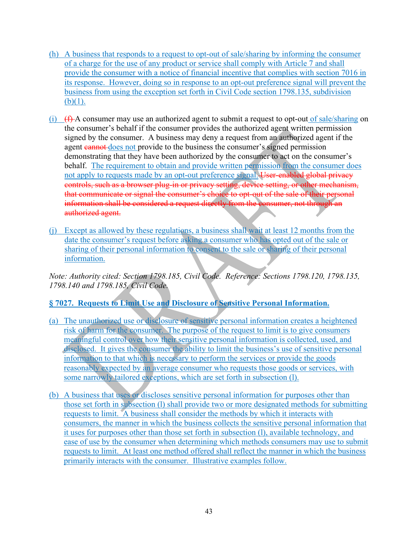- (h) A business that responds to a request to opt-out of sale/sharing by informing the consumer of a charge for the use of any product or service shall comply with Article 7 and shall provide the consumer with a notice of financial incentive that complies with section 7016 in its response. However, doing so in response to an opt-out preference signal will prevent the business from using the exception set forth in Civil Code section 1798.135, subdivision  $(b)(1)$ .
- (i)  $(f<sup>2</sup>)$  A consumer may use an authorized agent to submit a request to opt-out of sale/sharing on the consumer's behalf if the consumer provides the authorized agent written permission signed by the consumer. A business may deny a request from an authorized agent if the agent cannot does not provide to the business the consumer's signed permission demonstrating that they have been authorized by the consumer to act on the consumer's behalf. The requirement to obtain and provide written permission from the consumer does not apply to requests made by an opt-out preference signal. User-enabled global privacy controls, such as a browser plug-in or privacy setting, device setting, or other mechanism, that communicate or signal the consumer's choice to opt-out of the sale of their personal information shall be considered a request directly from the consumer, not through an authorized agent.
- (j) Except as allowed by these regulations, a business shall wait at least 12 months from the date the consumer's request before asking a consumer who has opted out of the sale or sharing of their personal information to consent to the sale or sharing of their personal information.

*Note: Authority cited: Section 1798.185, Civil Code. Reference: Sections 1798.120, 1798.135, 1798.140 and 1798.185, Civil Code.*

# **§ 7027. Requests to Limit Use and Disclosure of Sensitive Personal Information.**

- (a) The unauthorized use or disclosure of sensitive personal information creates a heightened risk of harm for the consumer. The purpose of the request to limit is to give consumers meaningful control over how their sensitive personal information is collected, used, and disclosed. It gives the consumer the ability to limit the business's use of sensitive personal information to that which is necessary to perform the services or provide the goods reasonably expected by an average consumer who requests those goods or services, with some narrowly tailored exceptions, which are set forth in subsection (1).
- (b) A business that uses or discloses sensitive personal information for purposes other than those set forth in subsection (l) shall provide two or more designated methods for submitting requests to limit. A business shall consider the methods by which it interacts with consumers, the manner in which the business collects the sensitive personal information that it uses for purposes other than those set forth in subsection (l), available technology, and ease of use by the consumer when determining which methods consumers may use to submit requests to limit. At least one method offered shall reflect the manner in which the business primarily interacts with the consumer. Illustrative examples follow.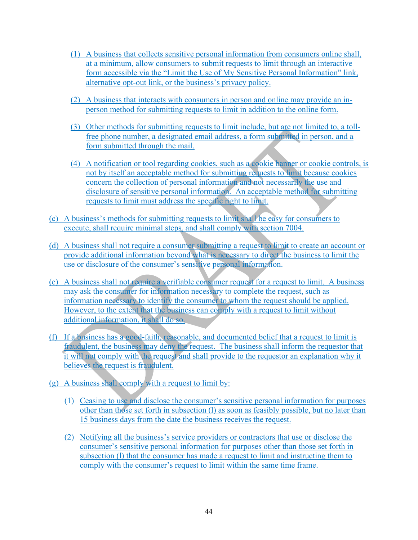- (1) A business that collects sensitive personal information from consumers online shall, at a minimum, allow consumers to submit requests to limit through an interactive form accessible via the "Limit the Use of My Sensitive Personal Information" link, alternative opt-out link, or the business's privacy policy.
- (2) A business that interacts with consumers in person and online may provide an inperson method for submitting requests to limit in addition to the online form.
- (3) Other methods for submitting requests to limit include, but are not limited to, a tollfree phone number, a designated email address, a form submitted in person, and a form submitted through the mail.
- (4) A notification or tool regarding cookies, such as a cookie banner or cookie controls, is not by itself an acceptable method for submitting requests to limit because cookies concern the collection of personal information and not necessarily the use and disclosure of sensitive personal information. An acceptable method for submitting requests to limit must address the specific right to limit.
- (c) A business's methods for submitting requests to limit shall be easy for consumers to execute, shall require minimal steps, and shall comply with section 7004.
- (d) A business shall not require a consumer submitting a request to limit to create an account or provide additional information beyond what is necessary to direct the business to limit the use or disclosure of the consumer's sensitive personal information.
- (e) A business shall not require a verifiable consumer request for a request to limit. A business may ask the consumer for information necessary to complete the request, such as information necessary to identify the consumer to whom the request should be applied. However, to the extent that the business can comply with a request to limit without additional information, it shall do so.
- (f) If a business has a good-faith, reasonable, and documented belief that a request to limit is fraudulent, the business may deny the request. The business shall inform the requestor that it will not comply with the request and shall provide to the requestor an explanation why it believes the request is fraudulent.
- (g) A business shall comply with a request to limit by:
	- (1) Ceasing to use and disclose the consumer's sensitive personal information for purposes other than those set forth in subsection (l) as soon as feasibly possible, but no later than 15 business days from the date the business receives the request.
	- (2) Notifying all the business's service providers or contractors that use or disclose the consumer's sensitive personal information for purposes other than those set forth in subsection (l) that the consumer has made a request to limit and instructing them to comply with the consumer's request to limit within the same time frame.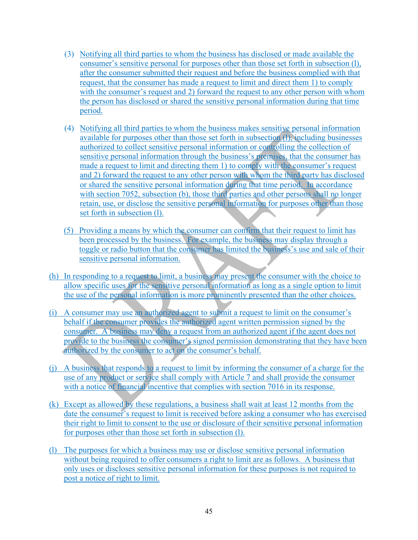- (3) Notifying all third parties to whom the business has disclosed or made available the consumer's sensitive personal for purposes other than those set forth in subsection (l), after the consumer submitted their request and before the business complied with that request, that the consumer has made a request to limit and direct them 1) to comply with the consumer's request and 2) forward the request to any other person with whom the person has disclosed or shared the sensitive personal information during that time period.
- (4) Notifying all third parties to whom the business makes sensitive personal information available for purposes other than those set forth in subsection (l), including businesses authorized to collect sensitive personal information or controlling the collection of sensitive personal information through the business's premises, that the consumer has made a request to limit and directing them 1) to comply with the consumer's request and 2) forward the request to any other person with whom the third party has disclosed or shared the sensitive personal information during that time period. In accordance with section 7052, subsection (b), those third parties and other persons shall no longer retain, use, or disclose the sensitive personal information for purposes other than those set forth in subsection (l).
- (5) Providing a means by which the consumer can confirm that their request to limit has been processed by the business. For example, the business may display through a toggle or radio button that the consumer has limited the business's use and sale of their sensitive personal information.
- (h) In responding to a request to limit, a business may present the consumer with the choice to allow specific uses for the sensitive personal information as long as a single option to limit the use of the personal information is more prominently presented than the other choices.
- (i) A consumer may use an authorized agent to submit a request to limit on the consumer's behalf if the consumer provides the authorized agent written permission signed by the consumer. A business may deny a request from an authorized agent if the agent does not provide to the business the consumer's signed permission demonstrating that they have been authorized by the consumer to act on the consumer's behalf.
- (j) A business that responds to a request to limit by informing the consumer of a charge for the use of any product or service shall comply with Article 7 and shall provide the consumer with a notice of financial incentive that complies with section 7016 in its response.
- (k) Except as allowed by these regulations, a business shall wait at least 12 months from the date the consumer's request to limit is received before asking a consumer who has exercised their right to limit to consent to the use or disclosure of their sensitive personal information for purposes other than those set forth in subsection (l).
- (l) The purposes for which a business may use or disclose sensitive personal information without being required to offer consumers a right to limit are as follows. A business that only uses or discloses sensitive personal information for these purposes is not required to post a notice of right to limit.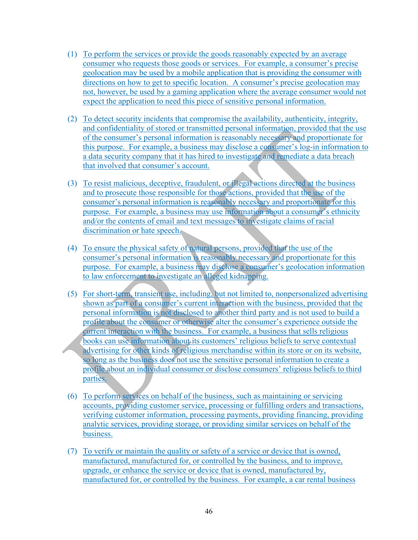- (1) To perform the services or provide the goods reasonably expected by an average consumer who requests those goods or services. For example, a consumer's precise geolocation may be used by a mobile application that is providing the consumer with directions on how to get to specific location. A consumer's precise geolocation may not, however, be used by a gaming application where the average consumer would not expect the application to need this piece of sensitive personal information.
- (2) To detect security incidents that compromise the availability, authenticity, integrity, and confidentiality of stored or transmitted personal information, provided that the use of the consumer's personal information is reasonably necessary and proportionate for this purpose. For example, a business may disclose a consumer's log-in information to a data security company that it has hired to investigate and remediate a data breach that involved that consumer's account.
- (3) To resist malicious, deceptive, fraudulent, or illegal actions directed at the business and to prosecute those responsible for those actions, provided that the use of the consumer's personal information is reasonably necessary and proportionate for this purpose. For example, a business may use information about a consumer's ethnicity and/or the contents of email and text messages to investigate claims of racial discrimination or hate speech.
- (4) To ensure the physical safety of natural persons, provided that the use of the consumer's personal information is reasonably necessary and proportionate for this purpose. For example, a business may disclose a consumer's geolocation information to law enforcement to investigate an alleged kidnapping.
- (5) For short-term, transient use, including, but not limited to, nonpersonalized advertising shown as part of a consumer's current interaction with the business, provided that the personal information is not disclosed to another third party and is not used to build a profile about the consumer or otherwise alter the consumer's experience outside the current interaction with the business. For example, a business that sells religious books can use information about its customers' religious beliefs to serve contextual advertising for other kinds of religious merchandise within its store or on its website, so long as the business does not use the sensitive personal information to create a profile about an individual consumer or disclose consumers' religious beliefs to third parties.
- (6) To perform services on behalf of the business, such as maintaining or servicing accounts, providing customer service, processing or fulfilling orders and transactions, verifying customer information, processing payments, providing financing, providing analytic services, providing storage, or providing similar services on behalf of the business.
- (7) To verify or maintain the quality or safety of a service or device that is owned, manufactured, manufactured for, or controlled by the business, and to improve, upgrade, or enhance the service or device that is owned, manufactured by, manufactured for, or controlled by the business. For example, a car rental business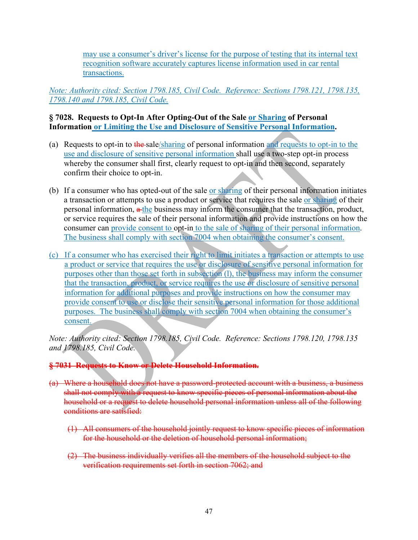may use a consumer's driver's license for the purpose of testing that its internal text recognition software accurately captures license information used in car rental transactions.

*Note: Authority cited: Section 1798.185, Civil Code. Reference: Sections 1798.121, 1798.135, 1798.140 and 1798.185, Civil Code.*

#### **§ 7028. Requests to Opt-In After Opting-Out of the Sale or Sharing of Personal Information or Limiting the Use and Disclosure of Sensitive Personal Information.**

- (a) Requests to opt-in to the sale/sharing of personal information and requests to opt-in to the use and disclosure of sensitive personal information shall use a two-step opt-in process whereby the consumer shall first, clearly request to opt-in and then second, separately confirm their choice to opt-in.
- (b) If a consumer who has opted-out of the sale or sharing of their personal information initiates a transaction or attempts to use a product or service that requires the sale or sharing of their personal information,  $a$ -the business may inform the consumer that the transaction, product, or service requires the sale of their personal information and provide instructions on how the consumer can provide consent to opt-in to the sale of sharing of their personal information. The business shall comply with section 7004 when obtaining the consumer's consent.
- (c) If a consumer who has exercised their right to limit initiates a transaction or attempts to use a product or service that requires the use or disclosure of sensitive personal information for purposes other than those set forth in subsection (l), the business may inform the consumer that the transaction, product, or service requires the use or disclosure of sensitive personal information for additional purposes and provide instructions on how the consumer may provide consent to use or disclose their sensitive personal information for those additional purposes. The business shall comply with section 7004 when obtaining the consumer's consent.

*Note: Authority cited: Section 1798.185, Civil Code. Reference: Sections 1798.120, 1798.135 and 1798.185, Civil Code.*

#### **§ 7031 Requests to Know or Delete Household Information.**

- (a) Where a household does not have a password-protected account with a business, a business shall not comply with a request to know specific pieces of personal information about the household or a request to delete household personal information unless all of the following conditions are satisfied:
	- (1) All consumers of the household jointly request to know specific pieces of information for the household or the deletion of household personal information;
	- (2) The business individually verifies all the members of the household subject to the verification requirements set forth in section 7062; and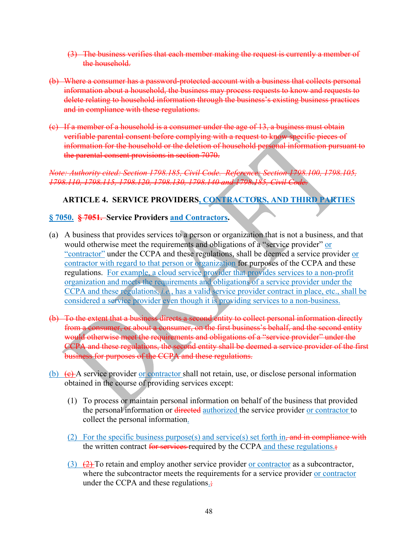- (3) The business verifies that each member making the request is currently a member of the household.
- (b) Where a consumer has a password-protected account with a business that collects personal information about a household, the business may process requests to know and requests to delete relating to household information through the business's existing business practices and in compliance with these regulations.
- (c) If a member of a household is a consumer under the age of 13, a business must obtain verifiable parental consent before complying with a request to know specific pieces of information for the household or the deletion of household personal information pursuant to the parental consent provisions in section 7070.

*Note: Authority cited: Section 1798.185, Civil Code. Reference: Section 1798.100, 1798.105, 1798.110, 1798.115, 1798.120, 1798.130, 1798.140 and 1798.185, Civil Code.* 

# **ARTICLE 4. SERVICE PROVIDERS, CONTRACTORS, AND THIRD PARTIES**

#### **§ 7050. § 7051. Service Providers and Contractors.**

- (a) A business that provides services to a person or organization that is not a business, and that would otherwise meet the requirements and obligations of a "service provider" or "contractor" under the CCPA and these regulations, shall be deemed a service provider or contractor with regard to that person or organization for purposes of the CCPA and these regulations. For example, a cloud service provider that provides services to a non-profit organization and meets the requirements and obligations of a service provider under the CCPA and these regulations, *i.e.*, has a valid service provider contract in place, etc., shall be considered a service provider even though it is providing services to a non-business.
- (b) To the extent that a business directs a second entity to collect personal information directly from a consumer, or about a consumer, on the first business's behalf, and the second entity would otherwise meet the requirements and obligations of a "service provider" under the CCPA and these regulations, the second entity shall be deemed a service provider of the first business for purposes of the CCPA and these regulations.
- (b)  $(e)$  A service provider or contractor shall not retain, use, or disclose personal information obtained in the course of providing services except:
	- (1) To process or maintain personal information on behalf of the business that provided the personal information or directed authorized the service provider or contractor to collect the personal information.
	- (2) For the specific business purpose(s) and service(s) set forth in, and in compliance with the written contract for services required by the CCPA and these regulations.;
	- (3)  $(2)$  To retain and employ another service provider or contractor as a subcontractor, where the subcontractor meets the requirements for a service provider or contractor under the CCPA and these regulations.;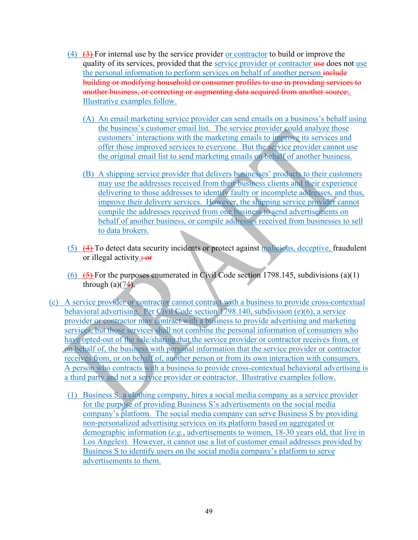- (4) (3) For internal use by the service provider or contractor to build or improve the quality of its services, provided that the service provider or contractor use does not use the personal information to perform services on behalf of another person include building or modifying household or consumer profiles to use in providing services to another business, or correcting or augmenting data acquired from another source;. Illustrative examples follow.
	- (A) An email marketing service provider can send emails on a business's behalf using the business's customer email list. The service provider could analyze those customers' interactions with the marketing emails to improve its services and offer those improved services to everyone. But the service provider cannot use the original email list to send marketing emails on behalf of another business.
	- (B) A shipping service provider that delivers businesses' products to their customers may use the addresses received from their business clients and their experience delivering to those addresses to identify faulty or incomplete addresses, and thus, improve their delivery services. However, the shipping service provider cannot compile the addresses received from one business to send advertisements on behalf of another business, or compile addresses received from businesses to sell to data brokers.
- (5) (4) To detect data security incidents or protect against malicious, deceptive, fraudulent or illegal activity.; or
- (6)  $(5)$  For the purposes enumerated in Civil Code section 1798.145, subdivisions (a)(1) through  $(a)(74)$ .
- (c) A service provider or contractor cannot contract with a business to provide cross-contextual behavioral advertising. Per Civil Code section 1798.140, subdivision (e)(6), a service provider or contractor may contract with a business to provide advertising and marketing services, but those services shall not combine the personal information of consumers who have opted-out of the sale/sharing that the service provider or contractor receives from, or on behalf of, the business with personal information that the service provider or contractor receives from, or on behalf of, another person or from its own interaction with consumers. A person who contracts with a business to provide cross-contextual behavioral advertising is a third party and not a service provider or contractor. Illustrative examples follow.
	- (1) Business S, a clothing company, hires a social media company as a service provider for the purpose of providing Business S's advertisements on the social media company's platform. The social media company can serve Business S by providing non-personalized advertising services on its platform based on aggregated or demographic information (*e.g.*, advertisements to women, 18-30 years old, that live in Los Angeles). However, it cannot use a list of customer email addresses provided by Business S to identify users on the social media company's platform to serve advertisements to them.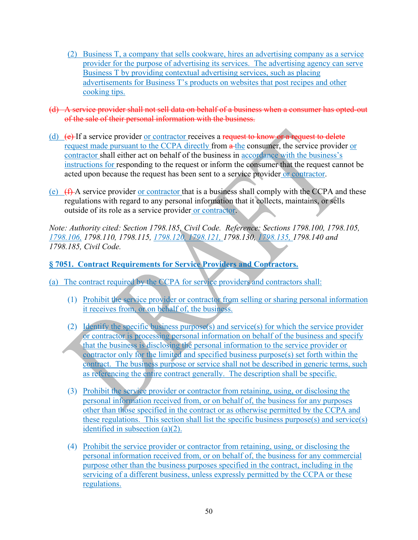- (2) Business T, a company that sells cookware, hires an advertising company as a service provider for the purpose of advertising its services. The advertising agency can serve Business T by providing contextual advertising services, such as placing advertisements for Business T's products on websites that post recipes and other cooking tips.
- (d) A service provider shall not sell data on behalf of a business when a consumer has opted-out of the sale of their personal information with the business.
- (d)  $(e)$  If a service provider or contractor receives a request to know or a request to delete request made pursuant to the CCPA directly from  $\alpha$ -the consumer, the service provider or contractor shall either act on behalf of the business in accordance with the business's instructions for responding to the request or inform the consumer that the request cannot be acted upon because the request has been sent to a service provider or contractor.
- (e)  $(f)$  A service provider or contractor that is a business shall comply with the CCPA and these regulations with regard to any personal information that it collects, maintains, or sells outside of its role as a service provider or contractor.

*Note: Authority cited: Section 1798.185, Civil Code. Reference: Sections 1798.100, 1798.105, 1798.106, 1798.110, 1798.115, 1798.120, 1798.121, 1798.130, 1798.135, 1798.140 and 1798.185, Civil Code.* 

### **§ 7051. Contract Requirements for Service Providers and Contractors.**

- (a) The contract required by the CCPA for service providers and contractors shall:
	- (1) Prohibit the service provider or contractor from selling or sharing personal information it receives from, or on behalf of, the business.
	- (2) Identify the specific business purpose(s) and service(s) for which the service provider or contractor is processing personal information on behalf of the business and specify that the business is disclosing the personal information to the service provider or contractor only for the limited and specified business purpose(s) set forth within the contract. The business purpose or service shall not be described in generic terms, such as referencing the entire contract generally. The description shall be specific.
	- (3) Prohibit the service provider or contractor from retaining, using, or disclosing the personal information received from, or on behalf of, the business for any purposes other than those specified in the contract or as otherwise permitted by the CCPA and these regulations. This section shall list the specific business purpose(s) and service(s) identified in subsection (a)(2).
	- (4) Prohibit the service provider or contractor from retaining, using, or disclosing the personal information received from, or on behalf of, the business for any commercial purpose other than the business purposes specified in the contract, including in the servicing of a different business, unless expressly permitted by the CCPA or these regulations.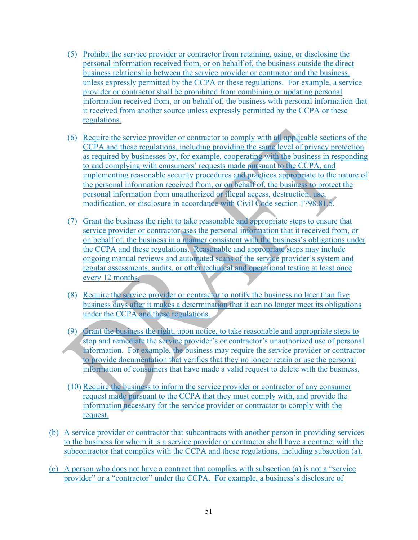- (5) Prohibit the service provider or contractor from retaining, using, or disclosing the personal information received from, or on behalf of, the business outside the direct business relationship between the service provider or contractor and the business, unless expressly permitted by the CCPA or these regulations. For example, a service provider or contractor shall be prohibited from combining or updating personal information received from, or on behalf of, the business with personal information that it received from another source unless expressly permitted by the CCPA or these regulations.
- (6) Require the service provider or contractor to comply with all applicable sections of the CCPA and these regulations, including providing the same level of privacy protection as required by businesses by, for example, cooperating with the business in responding to and complying with consumers' requests made pursuant to the CCPA, and implementing reasonable security procedures and practices appropriate to the nature of the personal information received from, or on behalf of, the business to protect the personal information from unauthorized or illegal access, destruction, use, modification, or disclosure in accordance with Civil Code section 1798.81.5.
- (7) Grant the business the right to take reasonable and appropriate steps to ensure that service provider or contractor uses the personal information that it received from, or on behalf of, the business in a manner consistent with the business's obligations under the CCPA and these regulations. Reasonable and appropriate steps may include ongoing manual reviews and automated scans of the service provider's system and regular assessments, audits, or other technical and operational testing at least once every 12 months.
- (8) Require the service provider or contractor to notify the business no later than five business days after it makes a determination that it can no longer meet its obligations under the CCPA and these regulations.
- (9) Grant the business the right, upon notice, to take reasonable and appropriate steps to stop and remediate the service provider's or contractor's unauthorized use of personal information. For example, the business may require the service provider or contractor to provide documentation that verifies that they no longer retain or use the personal information of consumers that have made a valid request to delete with the business.
- (10) Require the business to inform the service provider or contractor of any consumer request made pursuant to the CCPA that they must comply with, and provide the information necessary for the service provider or contractor to comply with the request.
- (b) A service provider or contractor that subcontracts with another person in providing services to the business for whom it is a service provider or contractor shall have a contract with the subcontractor that complies with the CCPA and these regulations, including subsection (a).
- (c) A person who does not have a contract that complies with subsection (a) is not a "service provider" or a "contractor" under the CCPA. For example, a business's disclosure of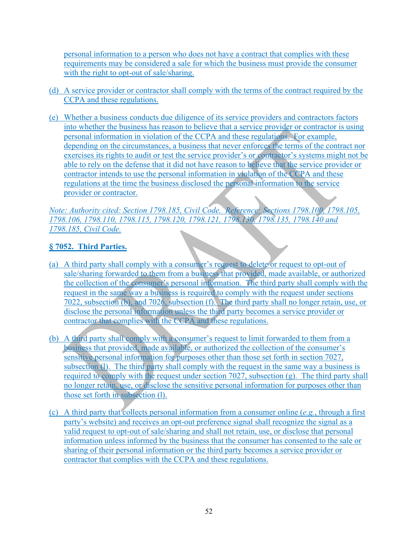personal information to a person who does not have a contract that complies with these requirements may be considered a sale for which the business must provide the consumer with the right to opt-out of sale/sharing.

- (d) A service provider or contractor shall comply with the terms of the contract required by the CCPA and these regulations.
- (e) Whether a business conducts due diligence of its service providers and contractors factors into whether the business has reason to believe that a service provider or contractor is using personal information in violation of the CCPA and these regulations. For example, depending on the circumstances, a business that never enforces the terms of the contract nor exercises its rights to audit or test the service provider's or contractor's systems might not be able to rely on the defense that it did not have reason to believe that the service provider or contractor intends to use the personal information in violation of the CCPA and these regulations at the time the business disclosed the personal information to the service provider or contractor.

*Note: Authority cited: Section 1798.185, Civil Code. Reference: Sections 1798.100, 1798.105, 1798.106, 1798.110, 1798.115, 1798.120, 1798.121, 1798.130, 1798.135, 1798.140 and 1798.185, Civil Code.*

### **§ 7052. Third Parties.**

- (a) A third party shall comply with a consumer's request to delete or request to opt-out of sale/sharing forwarded to them from a business that provided, made available, or authorized the collection of the consumer's personal information. The third party shall comply with the request in the same way a business is required to comply with the request under sections 7022, subsection (b), and 7026, subsection (f). The third party shall no longer retain, use, or disclose the personal information unless the third party becomes a service provider or contractor that complies with the CCPA and these regulations.
- (b) A third party shall comply with a consumer's request to limit forwarded to them from a business that provided, made available, or authorized the collection of the consumer's sensitive personal information for purposes other than those set forth in section 7027, subsection (1). The third party shall comply with the request in the same way a business is required to comply with the request under section 7027, subsection  $(g)$ . The third party shall no longer retain, use, or disclose the sensitive personal information for purposes other than those set forth in subsection (l).
- (c) A third party that collects personal information from a consumer online (*e.g.*, through a first party's website) and receives an opt-out preference signal shall recognize the signal as a valid request to opt-out of sale/sharing and shall not retain, use, or disclose that personal information unless informed by the business that the consumer has consented to the sale or sharing of their personal information or the third party becomes a service provider or contractor that complies with the CCPA and these regulations.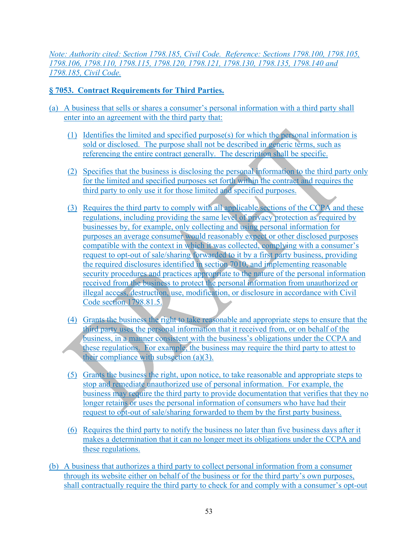*Note: Authority cited: Section 1798.185, Civil Code. Reference: Sections 1798.100, 1798.105, 1798.106, 1798.110, 1798.115, 1798.120, 1798.121, 1798.130, 1798.135, 1798.140 and 1798.185, Civil Code.*

### **§ 7053. Contract Requirements for Third Parties.**

- (a) A business that sells or shares a consumer's personal information with a third party shall enter into an agreement with the third party that:
	- (1) Identifies the limited and specified purpose(s) for which the personal information is sold or disclosed. The purpose shall not be described in generic terms, such as referencing the entire contract generally. The description shall be specific.
	- (2) Specifies that the business is disclosing the personal information to the third party only for the limited and specified purposes set forth within the contract and requires the third party to only use it for those limited and specified purposes.
	- (3) Requires the third party to comply with all applicable sections of the CCPA and these regulations, including providing the same level of privacy protection as required by businesses by, for example, only collecting and using personal information for purposes an average consumer would reasonably expect or other disclosed purposes compatible with the context in which it was collected, complying with a consumer's request to opt-out of sale/sharing forwarded to it by a first party business, providing the required disclosures identified in section 7010, and implementing reasonable security procedures and practices appropriate to the nature of the personal information received from the business to protect the personal information from unauthorized or illegal access, destruction, use, modification, or disclosure in accordance with Civil Code section 1798.81.5.
	- (4) Grants the business the right to take reasonable and appropriate steps to ensure that the third party uses the personal information that it received from, or on behalf of the business, in a manner consistent with the business's obligations under the CCPA and these regulations. For example, the business may require the third party to attest to their compliance with subsection (a)(3).
	- (5) Grants the business the right, upon notice, to take reasonable and appropriate steps to stop and remediate unauthorized use of personal information. For example, the business may require the third party to provide documentation that verifies that they no longer retains or uses the personal information of consumers who have had their request to opt-out of sale/sharing forwarded to them by the first party business.
	- (6) Requires the third party to notify the business no later than five business days after it makes a determination that it can no longer meet its obligations under the CCPA and these regulations.
- (b) A business that authorizes a third party to collect personal information from a consumer through its website either on behalf of the business or for the third party's own purposes, shall contractually require the third party to check for and comply with a consumer's opt-out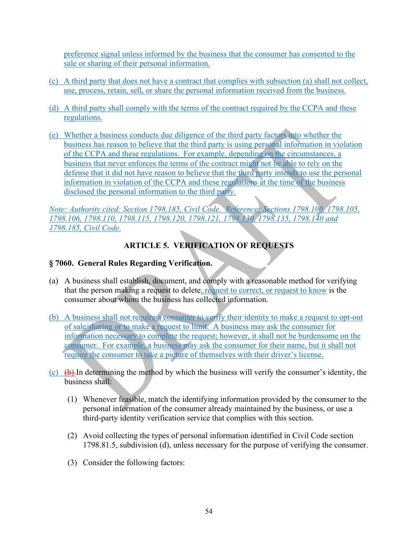preference signal unless informed by the business that the consumer has consented to the sale or sharing of their personal information.

- (c) A third party that does not have a contract that complies with subsection (a) shall not collect, use, process, retain, sell, or share the personal information received from the business.
- (d) A third party shall comply with the terms of the contract required by the CCPA and these regulations.
- (e) Whether a business conducts due diligence of the third party factors into whether the business has reason to believe that the third party is using personal information in violation of the CCPA and these regulations. For example, depending on the circumstances, a business that never enforces the terms of the contract might not be able to rely on the defense that it did not have reason to believe that the third party intends to use the personal information in violation of the CCPA and these regulations at the time of the business disclosed the personal information to the third party.

*Note: Authority cited: Section 1798.185, Civil Code. Reference: Sections 1798.100, 1798.105, 1798.106, 1798.110, 1798.115, 1798.120, 1798.121, 1798.130, 1798.135, 1798.140 and 1798.185, Civil Code.*

# **ARTICLE 5. VERIFICATION OF REQUESTS**

### **§ 7060. General Rules Regarding Verification.**

- (a) A business shall establish, document, and comply with a reasonable method for verifying that the person making a request to delete, request to correct, or request to know is the consumer about whom the business has collected information.
- (b) A business shall not require a consumer to verify their identity to make a request to opt-out of sale/sharing or to make a request to limit. A business may ask the consumer for information necessary to complete the request; however, it shall not be burdensome on the consumer. For example, a business may ask the consumer for their name, but it shall not require the consumer to take a picture of themselves with their driver's license.
- (c)  $(\theta)$  In determining the method by which the business will verify the consumer's identity, the business shall:
	- (1) Whenever feasible, match the identifying information provided by the consumer to the personal information of the consumer already maintained by the business, or use a third-party identity verification service that complies with this section.
	- (2) Avoid collecting the types of personal information identified in Civil Code section 1798.81.5, subdivision (d), unless necessary for the purpose of verifying the consumer.
	- (3) Consider the following factors: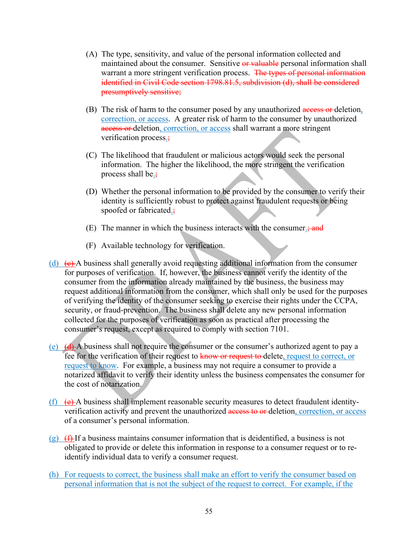- (A) The type, sensitivity, and value of the personal information collected and maintained about the consumer. Sensitive or valuable personal information shall warrant a more stringent verification process. The types of personal information identified in Civil Code section 1798.81.5, subdivision (d), shall be considered presumptively sensitive;
- (B) The risk of harm to the consumer posed by any unauthorized access or deletion, correction, or access. A greater risk of harm to the consumer by unauthorized access or deletion, correction, or access shall warrant a more stringent verification process.;
- (C) The likelihood that fraudulent or malicious actors would seek the personal information. The higher the likelihood, the more stringent the verification process shall be.:
- (D) Whether the personal information to be provided by the consumer to verify their identity is sufficiently robust to protect against fraudulent requests or being spoofed or fabricated.;
- (E) The manner in which the business interacts with the consumer.; and
- (F) Available technology for verification.
- (d)  $\left( e \right)$  A business shall generally avoid requesting additional information from the consumer for purposes of verification. If, however, the business cannot verify the identity of the consumer from the information already maintained by the business, the business may request additional information from the consumer, which shall only be used for the purposes of verifying the identity of the consumer seeking to exercise their rights under the CCPA, security, or fraud-prevention. The business shall delete any new personal information collected for the purposes of verification as soon as practical after processing the consumer's request, except as required to comply with section 7101.
- (e) (d) A business shall not require the consumer or the consumer's authorized agent to pay a fee for the verification of their request to know or request to delete, request to correct, or request to know. For example, a business may not require a consumer to provide a notarized affidavit to verify their identity unless the business compensates the consumer for the cost of notarization.
- (f)  $(e)$  A business shall implement reasonable security measures to detect fraudulent identityverification activity and prevent the unauthorized access to or-deletion, correction, or access of a consumer's personal information.
- $(g)$   $(f)$  If a business maintains consumer information that is deidentified, a business is not obligated to provide or delete this information in response to a consumer request or to reidentify individual data to verify a consumer request.
- (h) For requests to correct, the business shall make an effort to verify the consumer based on personal information that is not the subject of the request to correct. For example, if the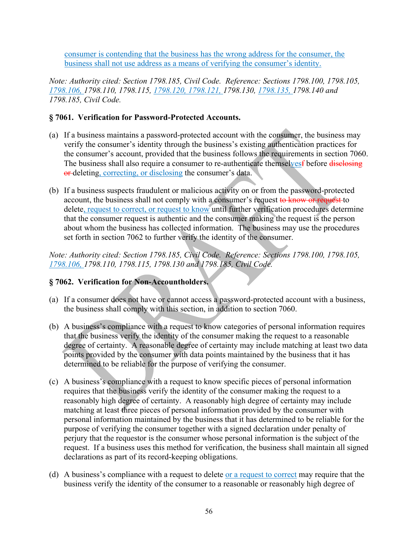consumer is contending that the business has the wrong address for the consumer, the business shall not use address as a means of verifying the consumer's identity.

*Note: Authority cited: Section 1798.185, Civil Code. Reference: Sections 1798.100, 1798.105, 1798.106, 1798.110, 1798.115, 1798.120, 1798.121, 1798.130, 1798.135, 1798.140 and 1798.185, Civil Code.* 

#### **§ 7061. Verification for Password-Protected Accounts.**

- (a) If a business maintains a password-protected account with the consumer, the business may verify the consumer's identity through the business's existing authentication practices for the consumer's account, provided that the business follows the requirements in section 7060. The business shall also require a consumer to re-authenticate themselvesf before disclosing or deleting, correcting, or disclosing the consumer's data.
- (b) If a business suspects fraudulent or malicious activity on or from the password-protected account, the business shall not comply with a consumer's request to know or request to delete, request to correct, or request to know until further verification procedures determine that the consumer request is authentic and the consumer making the request is the person about whom the business has collected information. The business may use the procedures set forth in section 7062 to further verify the identity of the consumer.

*Note: Authority cited: Section 1798.185, Civil Code. Reference: Sections 1798.100, 1798.105, 1798.106, 1798.110, 1798.115, 1798.130 and 1798.185, Civil Code.* 

#### **§ 7062. Verification for Non-Accountholders.**

- (a) If a consumer does not have or cannot access a password-protected account with a business, the business shall comply with this section, in addition to section 7060.
- (b) A business's compliance with a request to know categories of personal information requires that the business verify the identity of the consumer making the request to a reasonable degree of certainty. A reasonable degree of certainty may include matching at least two data points provided by the consumer with data points maintained by the business that it has determined to be reliable for the purpose of verifying the consumer.
- (c) A business's compliance with a request to know specific pieces of personal information requires that the business verify the identity of the consumer making the request to a reasonably high degree of certainty. A reasonably high degree of certainty may include matching at least three pieces of personal information provided by the consumer with personal information maintained by the business that it has determined to be reliable for the purpose of verifying the consumer together with a signed declaration under penalty of perjury that the requestor is the consumer whose personal information is the subject of the request. If a business uses this method for verification, the business shall maintain all signed declarations as part of its record-keeping obligations.
- (d) A business's compliance with a request to delete or a request to correct may require that the business verify the identity of the consumer to a reasonable or reasonably high degree of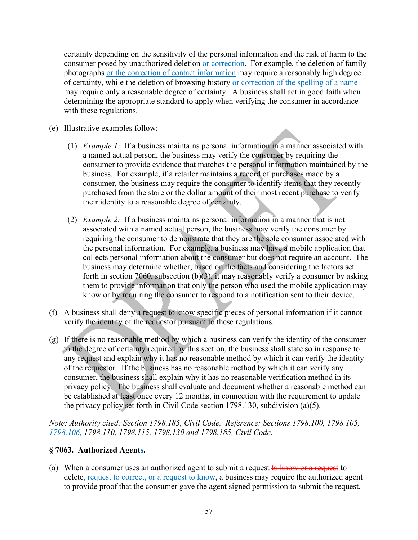certainty depending on the sensitivity of the personal information and the risk of harm to the consumer posed by unauthorized deletion or correction. For example, the deletion of family photographs or the correction of contact information may require a reasonably high degree of certainty, while the deletion of browsing history or correction of the spelling of a name may require only a reasonable degree of certainty. A business shall act in good faith when determining the appropriate standard to apply when verifying the consumer in accordance with these regulations.

- (e) Illustrative examples follow:
	- (1) *Example 1:* If a business maintains personal information in a manner associated with a named actual person, the business may verify the consumer by requiring the consumer to provide evidence that matches the personal information maintained by the business. For example, if a retailer maintains a record of purchases made by a consumer, the business may require the consumer to identify items that they recently purchased from the store or the dollar amount of their most recent purchase to verify their identity to a reasonable degree of certainty.
	- (2) *Example 2:* If a business maintains personal information in a manner that is not associated with a named actual person, the business may verify the consumer by requiring the consumer to demonstrate that they are the sole consumer associated with the personal information. For example, a business may have a mobile application that collects personal information about the consumer but does not require an account. The business may determine whether, based on the facts and considering the factors set forth in section 7060, subsection (b)(3), it may reasonably verify a consumer by asking them to provide information that only the person who used the mobile application may know or by requiring the consumer to respond to a notification sent to their device.
- (f) A business shall deny a request to know specific pieces of personal information if it cannot verify the identity of the requestor pursuant to these regulations.
- (g) If there is no reasonable method by which a business can verify the identity of the consumer to the degree of certainty required by this section, the business shall state so in response to any request and explain why it has no reasonable method by which it can verify the identity of the requestor. If the business has no reasonable method by which it can verify any consumer, the business shall explain why it has no reasonable verification method in its privacy policy. The business shall evaluate and document whether a reasonable method can be established at least once every 12 months, in connection with the requirement to update the privacy policy set forth in Civil Code section 1798.130, subdivision (a)(5).

*Note: Authority cited: Section 1798.185, Civil Code. Reference: Sections 1798.100, 1798.105, 1798.106, 1798.110, 1798.115, 1798.130 and 1798.185, Civil Code.* 

#### **§ 7063. Authorized Agents.**

(a) When a consumer uses an authorized agent to submit a request to know or a request to delete, request to correct, or a request to know, a business may require the authorized agent to provide proof that the consumer gave the agent signed permission to submit the request.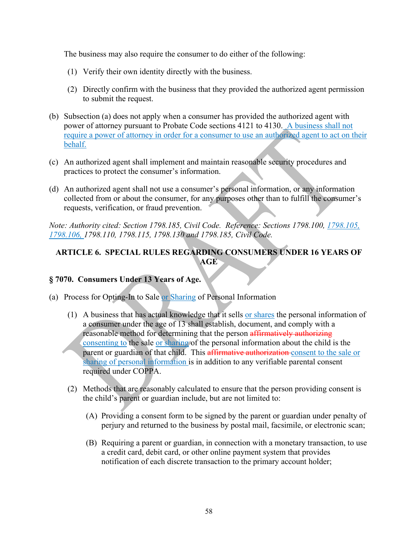The business may also require the consumer to do either of the following:

- (1) Verify their own identity directly with the business.
- (2) Directly confirm with the business that they provided the authorized agent permission to submit the request.
- (b) Subsection (a) does not apply when a consumer has provided the authorized agent with power of attorney pursuant to Probate Code sections 4121 to 4130. A business shall not require a power of attorney in order for a consumer to use an authorized agent to act on their behalf.
- (c) An authorized agent shall implement and maintain reasonable security procedures and practices to protect the consumer's information.
- (d) An authorized agent shall not use a consumer's personal information, or any information collected from or about the consumer, for any purposes other than to fulfill the consumer's requests, verification, or fraud prevention.

*Note: Authority cited: Section 1798.185, Civil Code. Reference: Sections 1798.100, 1798.105, 1798.106, 1798.110, 1798.115, 1798.130 and 1798.185, Civil Code.* 

### **ARTICLE 6. SPECIAL RULES REGARDING CONSUMERS UNDER 16 YEARS OF AGE**

#### **§ 7070. Consumers Under 13 Years of Age.**

- (a) Process for Opting-In to Sale or Sharing of Personal Information
	- (1) A business that has actual knowledge that it sells or shares the personal information of a consumer under the age of 13 shall establish, document, and comply with a reasonable method for determining that the person affirmatively authorizing consenting to the sale or sharing of the personal information about the child is the parent or guardian of that child. This affirmative authorization consent to the sale or sharing of personal information is in addition to any verifiable parental consent required under COPPA.
	- (2) Methods that are reasonably calculated to ensure that the person providing consent is the child's parent or guardian include, but are not limited to:
		- (A) Providing a consent form to be signed by the parent or guardian under penalty of perjury and returned to the business by postal mail, facsimile, or electronic scan;
		- (B) Requiring a parent or guardian, in connection with a monetary transaction, to use a credit card, debit card, or other online payment system that provides notification of each discrete transaction to the primary account holder;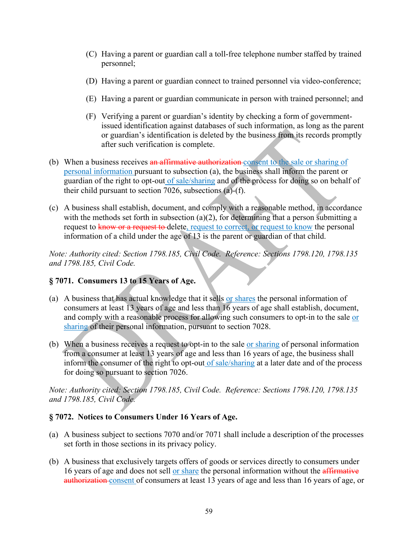- (C) Having a parent or guardian call a toll-free telephone number staffed by trained personnel;
- (D) Having a parent or guardian connect to trained personnel via video-conference;
- (E) Having a parent or guardian communicate in person with trained personnel; and
- (F) Verifying a parent or guardian's identity by checking a form of governmentissued identification against databases of such information, as long as the parent or guardian's identification is deleted by the business from its records promptly after such verification is complete.
- (b) When a business receives an affirmative authorization-consent to the sale or sharing of personal information pursuant to subsection (a), the business shall inform the parent or guardian of the right to opt-out of sale/sharing and of the process for doing so on behalf of their child pursuant to section 7026, subsections (a)-(f).
- (c) A business shall establish, document, and comply with a reasonable method, in accordance with the methods set forth in subsection (a)(2), for determining that a person submitting a request to know or a request to delete, request to correct, or request to know the personal information of a child under the age of 13 is the parent or guardian of that child.

*Note: Authority cited: Section 1798.185, Civil Code. Reference: Sections 1798.120, 1798.135 and 1798.185, Civil Code.*

#### **§ 7071. Consumers 13 to 15 Years of Age.**

- (a) A business that has actual knowledge that it sells or shares the personal information of consumers at least 13 years of age and less than 16 years of age shall establish, document, and comply with a reasonable process for allowing such consumers to opt-in to the sale or sharing of their personal information, pursuant to section 7028.
- (b) When a business receives a request to opt-in to the sale or sharing of personal information from a consumer at least 13 years of age and less than 16 years of age, the business shall inform the consumer of the right to opt-out of sale/sharing at a later date and of the process for doing so pursuant to section 7026.

*Note: Authority cited: Section 1798.185, Civil Code. Reference: Sections 1798.120, 1798.135 and 1798.185, Civil Code.* 

#### **§ 7072. Notices to Consumers Under 16 Years of Age.**

- (a) A business subject to sections 7070 and/or 7071 shall include a description of the processes set forth in those sections in its privacy policy.
- (b) A business that exclusively targets offers of goods or services directly to consumers under 16 years of age and does not sell or share the personal information without the affirmative authorization consent of consumers at least 13 years of age and less than 16 years of age, or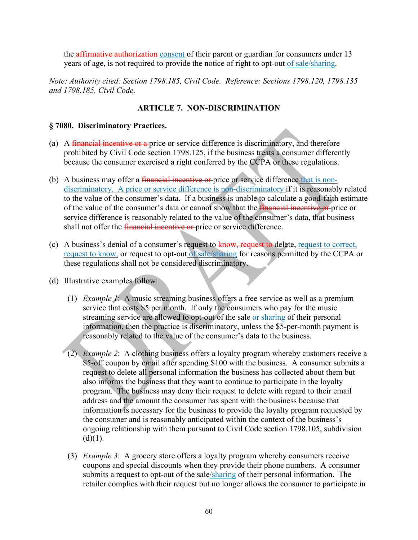the affirmative authorization consent of their parent or guardian for consumers under 13 years of age, is not required to provide the notice of right to opt-out of sale/sharing.

*Note: Authority cited: Section 1798.185, Civil Code. Reference: Sections 1798.120, 1798.135 and 1798.185, Civil Code.* 

#### **ARTICLE 7. NON-DISCRIMINATION**

#### **§ 7080. Discriminatory Practices.**

- (a) A financial incentive or a price or service difference is discriminatory, and therefore prohibited by Civil Code section 1798.125, if the business treats a consumer differently because the consumer exercised a right conferred by the CCPA or these regulations.
- (b) A business may offer a *financial incentive or* price or service difference that is nondiscriminatory. A price or service difference is non-discriminatory if it is reasonably related to the value of the consumer's data. If a business is unable to calculate a good-faith estimate of the value of the consumer's data or cannot show that the *financial incentive or* price or service difference is reasonably related to the value of the consumer's data, that business shall not offer the *financial incentive or* price or service difference.
- (c) A business's denial of a consumer's request to know, request to delete, request to correct, request to know, or request to opt-out of sale/sharing for reasons permitted by the CCPA or these regulations shall not be considered discriminatory.
- (d) Illustrative examples follow:
	- (1) *Example 1*: A music streaming business offers a free service as well as a premium service that costs \$5 per month. If only the consumers who pay for the music streaming service are allowed to opt-out of the sale or sharing of their personal information, then the practice is discriminatory, unless the \$5-per-month payment is reasonably related to the value of the consumer's data to the business.
	- (2) *Example 2*: A clothing business offers a loyalty program whereby customers receive a \$5-off coupon by email after spending \$100 with the business. A consumer submits a request to delete all personal information the business has collected about them but also informs the business that they want to continue to participate in the loyalty program. The business may deny their request to delete with regard to their email address and the amount the consumer has spent with the business because that information is necessary for the business to provide the loyalty program requested by the consumer and is reasonably anticipated within the context of the business's ongoing relationship with them pursuant to Civil Code section 1798.105, subdivision  $(d)(1)$ .
	- (3) *Example 3*: A grocery store offers a loyalty program whereby consumers receive coupons and special discounts when they provide their phone numbers. A consumer submits a request to opt-out of the sale/sharing of their personal information. The retailer complies with their request but no longer allows the consumer to participate in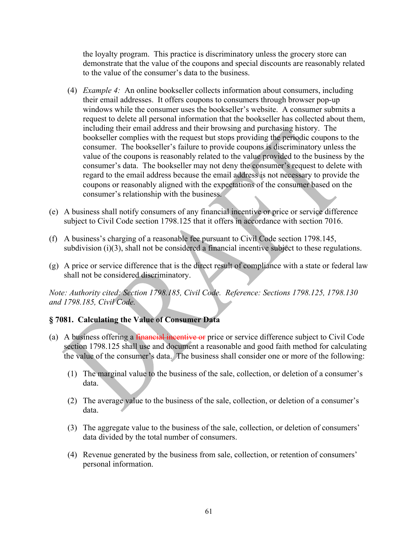the loyalty program. This practice is discriminatory unless the grocery store can demonstrate that the value of the coupons and special discounts are reasonably related to the value of the consumer's data to the business.

- (4) *Example 4:* An online bookseller collects information about consumers, including their email addresses. It offers coupons to consumers through browser pop-up windows while the consumer uses the bookseller's website. A consumer submits a request to delete all personal information that the bookseller has collected about them, including their email address and their browsing and purchasing history. The bookseller complies with the request but stops providing the periodic coupons to the consumer. The bookseller's failure to provide coupons is discriminatory unless the value of the coupons is reasonably related to the value provided to the business by the consumer's data. The bookseller may not deny the consumer's request to delete with regard to the email address because the email address is not necessary to provide the coupons or reasonably aligned with the expectations of the consumer based on the consumer's relationship with the business.
- (e) A business shall notify consumers of any financial incentive or price or service difference subject to Civil Code section 1798.125 that it offers in accordance with section 7016.
- (f) A business's charging of a reasonable fee pursuant to Civil Code section 1798.145, subdivision (i)(3), shall not be considered a financial incentive subject to these regulations.
- (g) A price or service difference that is the direct result of compliance with a state or federal law shall not be considered discriminatory.

*Note: Authority cited: Section 1798.185, Civil Code. Reference: Sections 1798.125, 1798.130 and 1798.185, Civil Code.*

#### **§ 7081. Calculating the Value of Consumer Data**

- (a) A business offering a *financial incentive or* price or service difference subject to Civil Code section 1798.125 shall use and document a reasonable and good faith method for calculating the value of the consumer's data. The business shall consider one or more of the following:
	- (1) The marginal value to the business of the sale, collection, or deletion of a consumer's data.
	- (2) The average value to the business of the sale, collection, or deletion of a consumer's data.
	- (3) The aggregate value to the business of the sale, collection, or deletion of consumers' data divided by the total number of consumers.
	- (4) Revenue generated by the business from sale, collection, or retention of consumers' personal information.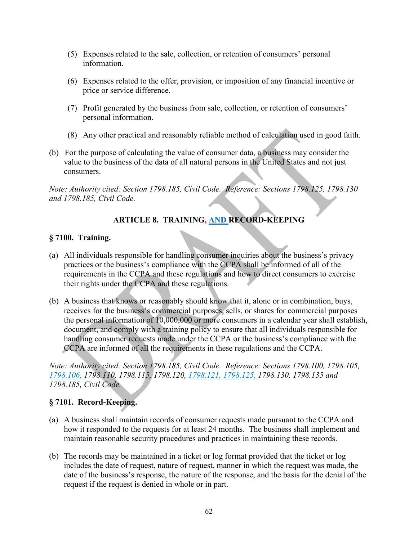- (5) Expenses related to the sale, collection, or retention of consumers' personal information.
- (6) Expenses related to the offer, provision, or imposition of any financial incentive or price or service difference.
- (7) Profit generated by the business from sale, collection, or retention of consumers' personal information.
- (8) Any other practical and reasonably reliable method of calculation used in good faith.
- (b) For the purpose of calculating the value of consumer data, a business may consider the value to the business of the data of all natural persons in the United States and not just consumers.

*Note: Authority cited: Section 1798.185, Civil Code. Reference: Sections 1798.125, 1798.130 and 1798.185, Civil Code.*

# **ARTICLE 8. TRAINING, AND RECORD-KEEPING**

#### **§ 7100. Training.**

- (a) All individuals responsible for handling consumer inquiries about the business's privacy practices or the business's compliance with the CCPA shall be informed of all of the requirements in the CCPA and these regulations and how to direct consumers to exercise their rights under the CCPA and these regulations.
- (b) A business that knows or reasonably should know that it, alone or in combination, buys, receives for the business's commercial purposes, sells, or shares for commercial purposes the personal information of 10,000,000 or more consumers in a calendar year shall establish, document, and comply with a training policy to ensure that all individuals responsible for handling consumer requests made under the CCPA or the business's compliance with the CCPA are informed of all the requirements in these regulations and the CCPA.

*Note: Authority cited: Section 1798.185, Civil Code. Reference: Sections 1798.100, 1798.105, 1798.106, 1798.110, 1798.115, 1798.120, 1798.121, 1798.125, 1798.130, 1798.135 and 1798.185, Civil Code.*

# **§ 7101. Record-Keeping.**

- (a) A business shall maintain records of consumer requests made pursuant to the CCPA and how it responded to the requests for at least 24 months. The business shall implement and maintain reasonable security procedures and practices in maintaining these records.
- (b) The records may be maintained in a ticket or log format provided that the ticket or log includes the date of request, nature of request, manner in which the request was made, the date of the business's response, the nature of the response, and the basis for the denial of the request if the request is denied in whole or in part.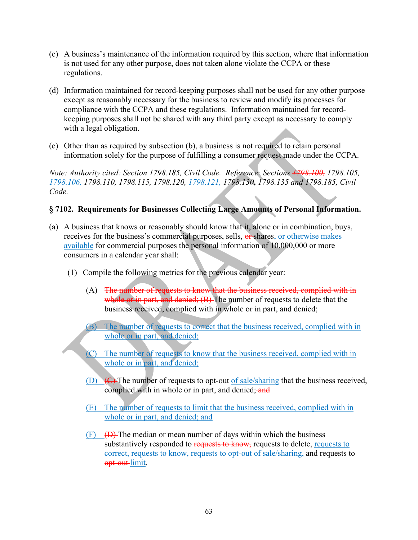- (c) A business's maintenance of the information required by this section, where that information is not used for any other purpose, does not taken alone violate the CCPA or these regulations.
- (d) Information maintained for record-keeping purposes shall not be used for any other purpose except as reasonably necessary for the business to review and modify its processes for compliance with the CCPA and these regulations. Information maintained for recordkeeping purposes shall not be shared with any third party except as necessary to comply with a legal obligation.
- (e) Other than as required by subsection (b), a business is not required to retain personal information solely for the purpose of fulfilling a consumer request made under the CCPA.

*Note: Authority cited: Section 1798.185, Civil Code. Reference: Sections 1798.100, 1798.105, 1798.106, 1798.110, 1798.115, 1798.120, 1798.121, 1798.130, 1798.135 and 1798.185, Civil Code.*

#### **§ 7102. Requirements for Businesses Collecting Large Amounts of Personal Information.**

- (a) A business that knows or reasonably should know that it, alone or in combination, buys, receives for the business's commercial purposes, sells, or shares, or otherwise makes available for commercial purposes the personal information of 10,000,000 or more consumers in a calendar year shall:
	- (1) Compile the following metrics for the previous calendar year:
		- (A) The number of requests to know that the business received, complied with in whole or in part, and denied;  $(B)$  The number of requests to delete that the business received, complied with in whole or in part, and denied;
		- (B) The number of requests to correct that the business received, complied with in whole or in part, and denied;
		- (C) The number of requests to know that the business received, complied with in whole or in part, and denied;
		- (D)  $\left(\frac{C}{C}\right)$  The number of requests to opt-out of sale/sharing that the business received, complied with in whole or in part, and denied; and
		- (E) The number of requests to limit that the business received, complied with in whole or in part, and denied; and
		- $(F)$   $(D)$  The median or mean number of days within which the business substantively responded to requests to know, requests to delete, requests to correct, requests to know, requests to opt-out of sale/sharing, and requests to opt-out-limit.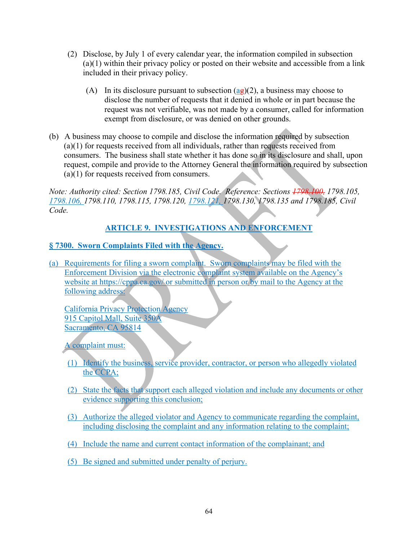- (2) Disclose, by July 1 of every calendar year, the information compiled in subsection (a)(1) within their privacy policy or posted on their website and accessible from a link included in their privacy policy.
	- (A) In its disclosure pursuant to subsection  $(a\theta)(2)$ , a business may choose to disclose the number of requests that it denied in whole or in part because the request was not verifiable, was not made by a consumer, called for information exempt from disclosure, or was denied on other grounds.
- (b) A business may choose to compile and disclose the information required by subsection (a)(1) for requests received from all individuals, rather than requests received from consumers. The business shall state whether it has done so in its disclosure and shall, upon request, compile and provide to the Attorney General the information required by subsection (a)(1) for requests received from consumers.

*Note: Authority cited: Section 1798.185, Civil Code. Reference: Sections 1798.100, 1798.105, 1798.106, 1798.110, 1798.115, 1798.120, 1798.121, 1798.130, 1798.135 and 1798.185, Civil Code.* 

# **ARTICLE 9. INVESTIGATIONS AND ENFORCEMENT**

# **§ 7300. Sworn Complaints Filed with the Agency.**

(a) Requirements for filing a sworn complaint. Sworn complaints may be filed with the Enforcement Division via the electronic complaint system available on the Agency's website at https://cppa.ca.gov/ or submitted in person or by mail to the Agency at the following address:

California Privacy Protection Agency 915 Capitol Mall, Suite 350A Sacramento, CA 95814

A complaint must:

- (1) Identify the business, service provider, contractor, or person who allegedly violated the CCPA;
- (2) State the facts that support each alleged violation and include any documents or other evidence supporting this conclusion;
- (3) Authorize the alleged violator and Agency to communicate regarding the complaint, including disclosing the complaint and any information relating to the complaint;
- (4) Include the name and current contact information of the complainant; and
- (5) Be signed and submitted under penalty of perjury.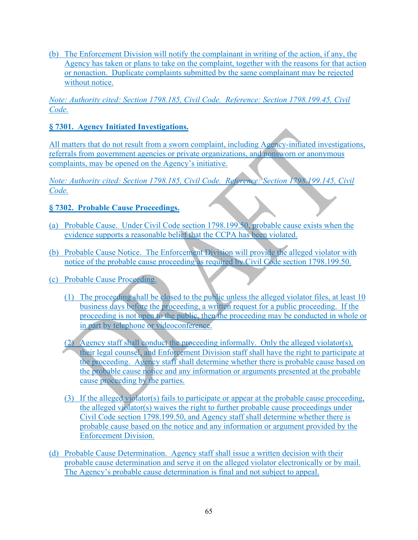(b) The Enforcement Division will notify the complainant in writing of the action, if any, the Agency has taken or plans to take on the complaint, together with the reasons for that action or nonaction. Duplicate complaints submitted by the same complainant may be rejected without notice.

*Note: Authority cited: Section 1798.185, Civil Code. Reference: Section 1798.199.45, Civil Code.*

### **§ 7301. Agency Initiated Investigations.**

All matters that do not result from a sworn complaint, including Agency-initiated investigations, referrals from government agencies or private organizations, and nonsworn or anonymous complaints, may be opened on the Agency's initiative.

*Note: Authority cited: Section 1798.185, Civil Code. Reference: Section 1798.199.145, Civil Code.* 

#### **§ 7302. Probable Cause Proceedings.**

- (a) Probable Cause. Under Civil Code section 1798.199.50, probable cause exists when the evidence supports a reasonable belief that the CCPA has been violated.
- (b) Probable Cause Notice. The Enforcement Division will provide the alleged violator with notice of the probable cause proceeding as required by Civil Code section 1798.199.50.
- (c) Probable Cause Proceeding.
	- (1) The proceeding shall be closed to the public unless the alleged violator files, at least 10 business days before the proceeding, a written request for a public proceeding. If the proceeding is not open to the public, then the proceeding may be conducted in whole or in part by telephone or videoconference.
	- (2) Agency staff shall conduct the proceeding informally. Only the alleged violator(s), their legal counsel, and Enforcement Division staff shall have the right to participate at the proceeding. Agency staff shall determine whether there is probable cause based on the probable cause notice and any information or arguments presented at the probable cause proceeding by the parties.
	- (3) If the alleged violator(s) fails to participate or appear at the probable cause proceeding, the alleged violator(s) waives the right to further probable cause proceedings under Civil Code section 1798.199.50, and Agency staff shall determine whether there is probable cause based on the notice and any information or argument provided by the Enforcement Division.
- (d) Probable Cause Determination. Agency staff shall issue a written decision with their probable cause determination and serve it on the alleged violator electronically or by mail. The Agency's probable cause determination is final and not subject to appeal.